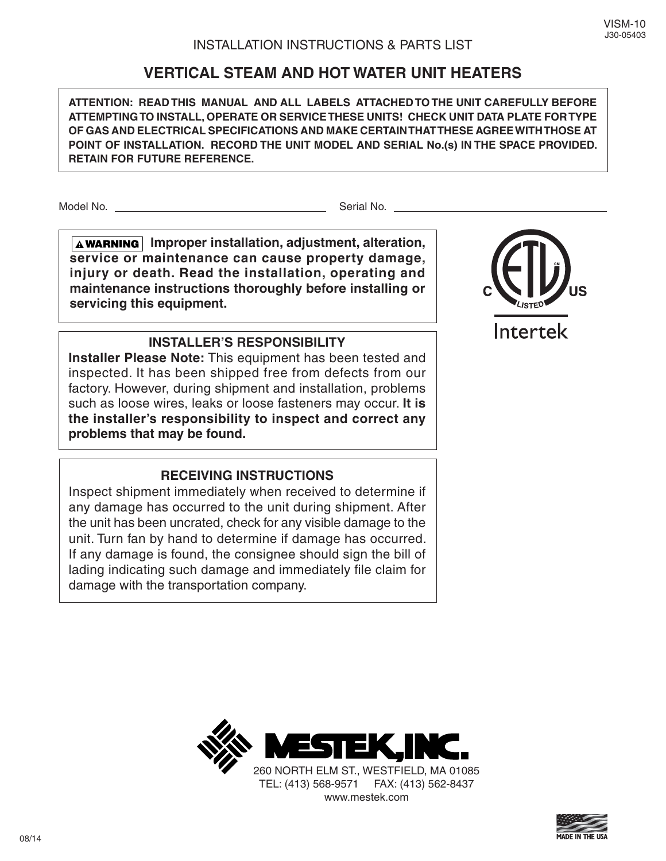# **VERTICAL STEAM AND HOT WATER UNIT HEATERS**

**ATTENTION: READ THIS MANUAL AND ALL LABELS ATTACHED TO THE UNIT CAREFULLY BEFORE ATTEMPTING TO INSTALL, OPERATE OR SERVICE THESE UNITS! CHECK UNIT DATA PLATE FOR TYPE OF GAS AND ELECTRICAL SPECIFICATIONS AND MAKE CERTAIN THAT THESE AGREE WITH THOSE AT POINT OF INSTALLATION. RECORD THE UNIT MODEL AND SERIAL No.(s) IN THE SPACE PROVIDED. RETAIN FOR FUTURE REFERENCE.**

Model No. Serial No.

**A** WARNING Improper installation, adjustment, alteration, **service or maintenance can cause property damage, injury or death. Read the installation, operating and maintenance instructions thoroughly before installing or servicing this equipment.** 

# **INSTALLER'S RESPONSIBILITY**

**Installer Please Note:** This equipment has been tested and inspected. It has been shipped free from defects from our factory. However, during shipment and installation, problems such as loose wires, leaks or loose fasteners may occur. **It is the installer's responsibility to inspect and correct any problems that may be found.**

# **RECEIVING INSTRUCTIONS**

Inspect shipment immediately when received to determine if any damage has occurred to the unit during shipment. After the unit has been uncrated, check for any visible damage to the unit. Turn fan by hand to determine if damage has occurred. If any damage is found, the consignee should sign the bill of lading indicating such damage and immediately file claim for damage with the transportation company.



Intertek



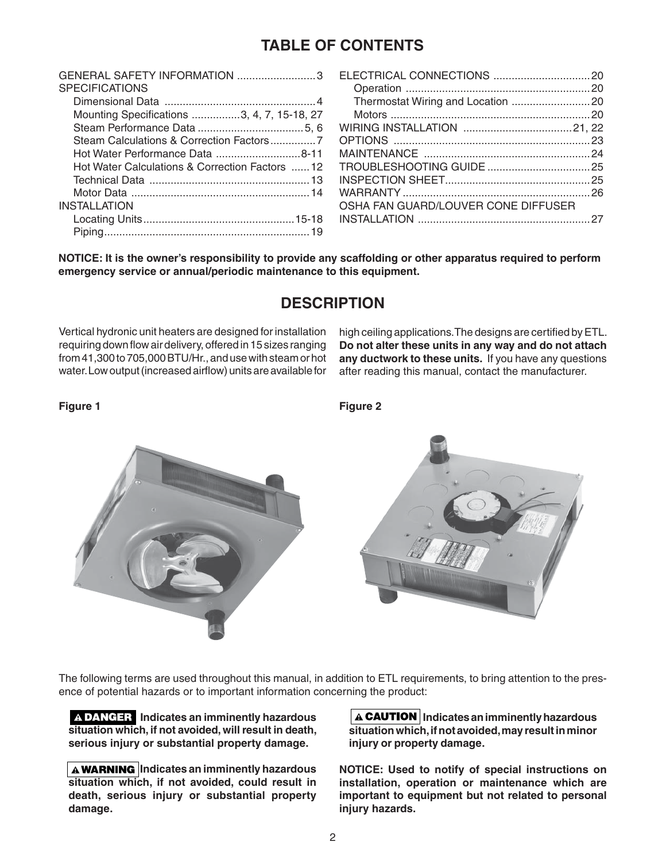# **TABLE OF CONTENTS**

| OSHA FAN GUARD/LOUVER CONE DIFFUSER |                                                                                                                                    |
|-------------------------------------|------------------------------------------------------------------------------------------------------------------------------------|
|                                     |                                                                                                                                    |
|                                     |                                                                                                                                    |
|                                     | GENERAL SAFETY INFORMATION 3 ELECTRICAL CONNECTIONS 20<br>Hot Water Calculations & Correction Factors  12 TROUBLESHOOTING GUIDE 25 |

**NOTICE: It is the owner's responsibility to provide any scaffolding or other apparatus required to perform emergency service or annual/periodic maintenance to this equipment.**

# **DESCRIPTION**

Vertical hydronic unit heaters are designed for installation requiring down flow air delivery, offered in 15 sizes ranging from 41,300 to 705,000 BTU/Hr., and use with steam or hot water. Low output (increased airflow) units are available for high ceiling applications. The designs are certified by ETL. **Do not alter these units in any way and do not attach any ductwork to these units.** If you have any questions after reading this manual, contact the manufacturer.

**Figure 1** 

**Figure 2**



The following terms are used throughout this manual, in addition to ETL requirements, to bring attention to the presence of potential hazards or to important information concerning the product:

 **Indicates an imminently hazardous situation which, if not avoided, will result in death, serious injury or substantial property damage.**

**A WARNING** Indicates an imminently hazardous **situation which, if not avoided, could result in death, serious injury or substantial property damage.**

**Indicates an imminently hazardous situation which, if not avoided, may result in minor injury or property damage.**

**NOTICE: Used to notify of special instructions on installation, operation or maintenance which are important to equipment but not related to personal injury hazards.**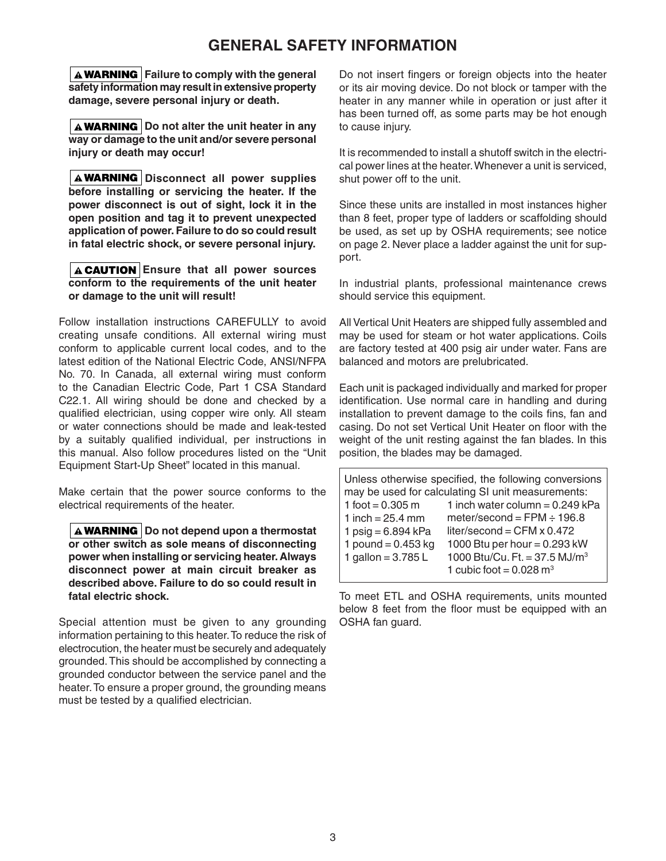# **GENERAL SAFETY INFORMATION**

**A WARNING** Failure to comply with the general **safety information may result in extensive property damage, severe personal injury or death.**

**A WARNING** Do not alter the unit heater in any **way or damage to the unit and/or severe personal injury or death may occur!**

**A WARNING** Disconnect all power supplies **before installing or servicing the heater. If the power disconnect is out of sight, lock it in the open position and tag it to prevent unexpected application of power. Failure to do so could result in fatal electric shock, or severe personal injury.**

### **A CAUTION** Ensure that all power sources **conform to the requirements of the unit heater or damage to the unit will result!**

Follow installation instructions CAREFULLY to avoid creating unsafe conditions. All external wiring must conform to applicable current local codes, and to the latest edition of the National Electric Code, ANSI/NFPA No. 70. In Canada, all external wiring must conform to the Canadian Electric Code, Part 1 CSA Standard C22.1. All wiring should be done and checked by a qualified electrician, using copper wire only. All steam or water connections should be made and leak-tested by a suitably qualified individual, per instructions in this manual. Also follow procedures listed on the "Unit Equipment Start-Up Sheet" located in this manual.

Make certain that the power source conforms to the electrical requirements of the heater.

A **WARNING** Do not depend upon a thermostat **or other switch as sole means of disconnecting power when installing or servicing heater. Always disconnect power at main circuit breaker as described above. Failure to do so could result in fatal electric shock.**

Special attention must be given to any grounding information pertaining to this heater. To reduce the risk of electrocution, the heater must be securely and adequately grounded. This should be accomplished by connecting a grounded conductor between the service panel and the heater. To ensure a proper ground, the grounding means must be tested by a qualified electrician.

Do not insert fingers or foreign objects into the heater or its air moving device. Do not block or tamper with the heater in any manner while in operation or just after it has been turned off, as some parts may be hot enough to cause injury.

It is recommended to install a shutoff switch in the electrical power lines at the heater. Whenever a unit is serviced, shut power off to the unit.

Since these units are installed in most instances higher than 8 feet, proper type of ladders or scaffolding should be used, as set up by OSHA requirements; see notice on page 2. Never place a ladder against the unit for support.

In industrial plants, professional maintenance crews should service this equipment.

All Vertical Unit Heaters are shipped fully assembled and may be used for steam or hot water applications. Coils are factory tested at 400 psig air under water. Fans are balanced and motors are prelubricated.

Each unit is packaged individually and marked for proper identification. Use normal care in handling and during installation to prevent damage to the coils fins, fan and casing. Do not set Vertical Unit Heater on floor with the weight of the unit resting against the fan blades. In this position, the blades may be damaged.

| Unless otherwise specified, the following conversions   |                                           |  |  |  |  |  |  |  |  |  |  |
|---------------------------------------------------------|-------------------------------------------|--|--|--|--|--|--|--|--|--|--|
| may be used for calculating SI unit measurements:       |                                           |  |  |  |  |  |  |  |  |  |  |
| 1 inch water column = $0.249$ kPa<br>1 foot = $0.305$ m |                                           |  |  |  |  |  |  |  |  |  |  |
| meter/second = $FPM \div 196.8$<br>1 inch = $25.4$ mm   |                                           |  |  |  |  |  |  |  |  |  |  |
| 1 psig = $6.894$ kPa                                    | liter/second = $CFM \times 0.472$         |  |  |  |  |  |  |  |  |  |  |
| 1 pound = $0.453$ kg                                    | 1000 Btu per hour = $0.293$ kW            |  |  |  |  |  |  |  |  |  |  |
| 1 gallon = $3.785 L$                                    | 1000 Btu/Cu. Ft. = 37.5 MJ/m <sup>3</sup> |  |  |  |  |  |  |  |  |  |  |
|                                                         | 1 cubic foot = $0.028$ m <sup>3</sup>     |  |  |  |  |  |  |  |  |  |  |

To meet ETL and OSHA requirements, units mounted below 8 feet from the floor must be equipped with an OSHA fan guard.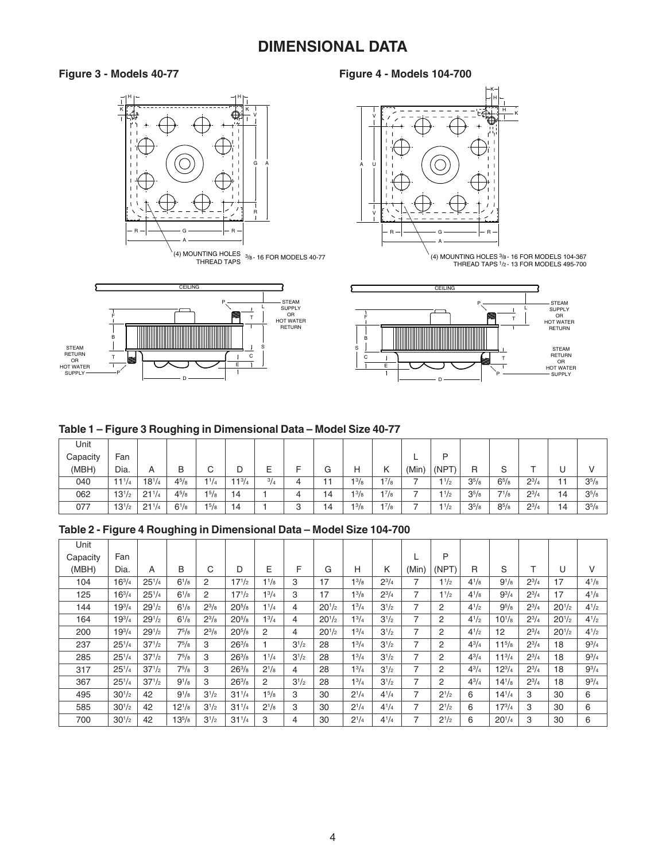# **DIMENSIONAL DATA**

# **Figure 3 - Models 40-77 Figure 4 - Models 104-700**



(4) MOUNTING HOLES THREAD TAPS 3/8 - 16 FOR MODELS 40-77





D

#### **Table 1 – Figure 3 Roughing in Dimensional Data – Model Size 40-77**

| Unit     |            |            |              |           |            |             |        |    |              |           |       |           |            |           |              |     |            |
|----------|------------|------------|--------------|-----------|------------|-------------|--------|----|--------------|-----------|-------|-----------|------------|-----------|--------------|-----|------------|
| Capacity | Fan        |            |              |           |            |             |        |    |              |           |       | D         |            |           |              |     |            |
| (MBH)    | Dia.       | A          | B            | ⌒<br>◡    | ◡          |             |        | G  | Н            | Κ         | (Min) | (NPT)     | R          | c<br>ت    |              | ◡   |            |
| 040      | $11^{1/4}$ | $18^{1/4}$ | $4^{5}/_{8}$ | $1^{1/4}$ | $11^{3/4}$ | $^{3}/_{4}$ |        |    | $1^{3}/_{8}$ | $1^{7}/8$ |       | $1^{1/2}$ | $3^{5}/_8$ | $6^{5}/s$ | $2^{3}/_{4}$ | - 4 | $3^{5}/_8$ |
| 062      | $13^{1/2}$ | $21^{1/4}$ | $4^{5}/8$    | 15/8      | 14         |             | 4      | 14 | $1^{3}/8$    | $1^{7}/8$ |       | 11/2      | $3^{5}/8$  | $7^{1}/8$ | $2^{3}/4$    | 14  | $3^{5}/8$  |
| 077      | $13^{1/2}$ | $21^{1/4}$ | $6^{1/8}$    | 15/8      | 14         |             | C<br>ت | 14 | 13/8         | $1^{7}/8$ |       | 11/2      | $3^{5}/8$  | $8^{5}/8$ | $2^{3}/4$    | 14  | $3^{5}/8$  |

### **Table 2 - Figure 4 Roughing in Dimensional Data – Model Size 104-700**

| Unit     |               |            |              |              |                     |              |           |            |              |              |                |           |              |              |              |            |              |
|----------|---------------|------------|--------------|--------------|---------------------|--------------|-----------|------------|--------------|--------------|----------------|-----------|--------------|--------------|--------------|------------|--------------|
| Capacity | Fan           |            |              |              |                     |              |           |            |              |              |                | P         |              |              |              |            |              |
| (MBH)    | Dia.          | A          | B            | С            | D                   | Е            | F         | G          | н            | Κ            | (Min)          | (NPT)     | R            | S            |              | U          | v            |
| 104      | $16^{3}/_{4}$ | $25^{1/4}$ | $6^{1}/_{8}$ | 2            | $17^{1/2}$          | $1^{1/8}$    | 3         | 17         | $1^{3}/_{8}$ | $2^{3}/_{4}$ | 7              | $1^{1/2}$ | $4^{1}/_{8}$ | $9^{1}/_{8}$ | $2^{3}/_{4}$ | 17         | $4^{1}/_{8}$ |
| 125      | $16^{3/4}$    | $25^{1/4}$ | $6^{1}/s$    | 2            | $17^{1/2}$          | $1^{3}/4$    | 3         | 17         | $1^{3}/8$    | $2^{3}/4$    | 7              | $1^{1/2}$ | $4^{1}/8$    | $9^{3}/_{4}$ | $2^{3/4}$    | 17         | $4^{1}/8$    |
| 144      | $19^{3}/4$    | $29^{1/2}$ | $6^{1}/s$    | $2^{3}/8$    | $20^{5}/\mathrm{s}$ | $1^{1/4}$    | 4         | $20^{1/2}$ | $1^{3}/4$    | $3^{1/2}$    | 7              | 2         | $4^{1/2}$    | $9^{5}/8$    | $2^{3/4}$    | $20^{1/2}$ | $4^{1}/2$    |
| 164      | $19^{3}/_{4}$ | $29^{1/2}$ | $6^{1}/_{8}$ | $2^{3}/_{8}$ | $20^{5}/\mathrm{s}$ | $1^{3}/_{4}$ | 4         | $20^{1/2}$ | $1^{3}/_{4}$ | $3^{1/2}$    | $\overline{7}$ | 2         | $4^{1/2}$    | $10^{1}/s$   | $2^{3}/_{4}$ | $20^{1/2}$ | $4^{1}/_{2}$ |
| 200      | $19^{3}/4$    | $29^{1/2}$ | $7^{5}/8$    | $2^{3}/8$    | $20^{5}/\mathrm{s}$ | 2            | 4         | $20^{1/2}$ | $1^{3}/4$    | $3^{1/2}$    | 7              | 2         | $4^{1/2}$    | 12           | $2^{3/4}$    | $20^{1/2}$ | $4^{1}/2$    |
| 237      | $25^{1/4}$    | $37^{1/2}$ | $7^{5}/8$    | 3            | $26^{3}/s$          |              | $3^{1/2}$ | 28         | $1^{3}/4$    | $3^{1/2}$    | 7              | 2         | $4^{3}/_{4}$ | $11^{5/8}$   | $2^{3/4}$    | 18         | $9^{3}/4$    |
| 285      | $25^{1/4}$    | $37^{1/2}$ | $7^{5}/_8$   | 3            | $26^{3}/s$          | $1^{1}/4$    | $3^{1/2}$ | 28         | $1^{3}/_{4}$ | $3^{1/2}$    | 7              | 2         | $4^{3}/_{4}$ | $11^{3}/4$   | $2^{3}/_{4}$ | 18         | $9^{3}/_{4}$ |
| 317      | $25^{1/4}$    | $37^{1/2}$ | $7^{5}/8$    | 3            | $26^{3}/s$          | $2^{1/8}$    | 4         | 28         | $1^{3}/4$    | $3^{1/2}$    | 7              | 2         | $4^{3}/_{4}$ | $12^{3/4}$   | $2^{3/4}$    | 18         | $9^{3}/4$    |
| 367      | $25^{1/4}$    | $37^{1/2}$ | $9^{1}/8$    | 3            | $26^{3}/s$          | 2            | $3^{1/2}$ | 28         | $1^{3}/4$    | $3^{1/2}$    | 7              | 2         | $4^{3}/_{4}$ | $14^{1/8}$   | $2^{3/4}$    | 18         | $9^{3}/_{4}$ |
| 495      | $30^{1/2}$    | 42         | $9^{1}/_{8}$ | $3^{1/2}$    | $31^{1/4}$          | $1^{5}/8$    | 3         | 30         | $2^{1/4}$    | $4^{1}/_{4}$ | $\overline{7}$ | $2^{1/2}$ | 6            | $14^{1/4}$   | 3            | 30         | 6            |
| 585      | $30^{1/2}$    | 42         | $12^{1/8}$   | $3^{1/2}$    | $31^{1/4}$          | $2^{1/8}$    | 3         | 30         | $2^{1/4}$    | $4^{1}/4$    | 7              | $2^{1/2}$ | 6            | $17^{3/4}$   | 3            | 30         | 6            |
| 700      | $30^{1/2}$    | 42         | $13^{5}/8$   | $3^{1/2}$    | $31^{1/4}$          | 3            | 4         | 30         | $2^{1/4}$    | $4^{1}/4$    | 7              | $2^{1/2}$ | 6            | $20^{1/4}$   | 3            | 30         | 6            |

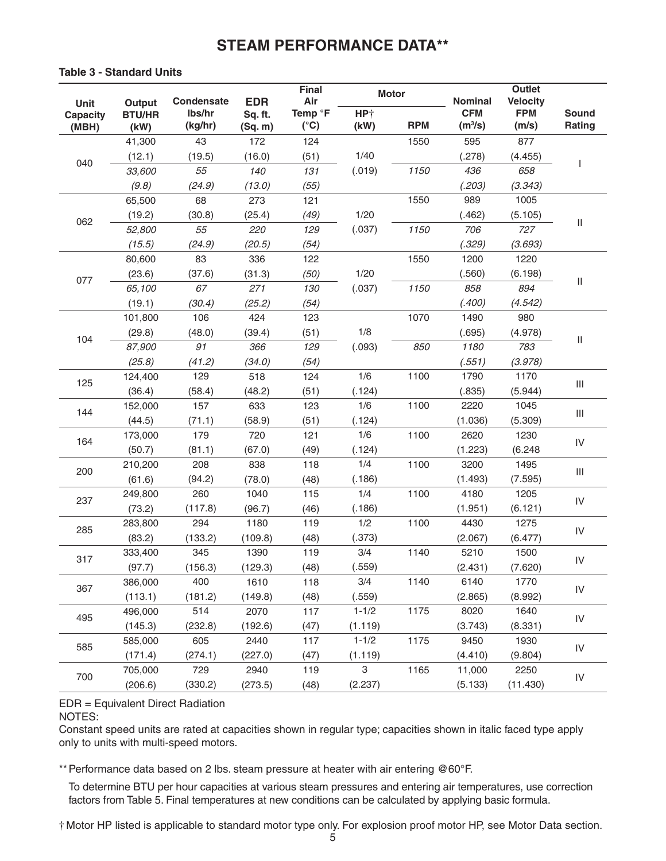# **STEAM PERFORMANCE DATA\*\***

### **Table 3 - Standard Units**

| Unit                     | Output                | <b>Condensate</b> | <b>EDR</b>         | <b>Final</b><br>Air      |                         | <b>Motor</b> | Nominal                           | <b>Outlet</b><br><b>Velocity</b> |                                    |
|--------------------------|-----------------------|-------------------|--------------------|--------------------------|-------------------------|--------------|-----------------------------------|----------------------------------|------------------------------------|
| <b>Capacity</b><br>(MBH) | <b>BTU/HR</b><br>(kW) | lbs/hr<br>(kg/hr) | Sq. ft.<br>(Sq. m) | Temp °F<br>$(^{\circ}C)$ | HP <sup>+</sup><br>(kW) | <b>RPM</b>   | <b>CFM</b><br>(m <sup>3</sup> /s) | <b>FPM</b><br>(m/s)              | <b>Sound</b><br>Rating             |
|                          | 41,300                | 43                | 172                | 124                      |                         | 1550         | 595                               | 877                              |                                    |
|                          | (12.1)                | (19.5)            | (16.0)             | (51)                     | 1/40                    |              | (.278)                            | (4.455)                          |                                    |
| 040                      | 33,600                | 55                | 140                | 131                      | (.019)                  | 1150         | 436                               | 658                              |                                    |
|                          | (9.8)                 | (24.9)            | (13.0)             | (55)                     |                         |              | (.203)                            | (3.343)                          |                                    |
|                          | 65,500                | 68                | 273                | 121                      |                         | 1550         | 989                               | 1005                             |                                    |
|                          | (19.2)                | (30.8)            | (25.4)             | (49)                     | 1/20                    |              | (.462)                            | (5.105)                          |                                    |
| 062                      | 52,800                | 55                | 220                | 129                      | (.037)                  | 1150         | 706                               | 727                              | $\ensuremath{\mathsf{II}}$         |
|                          | (15.5)                | (24.9)            | (20.5)             | (54)                     |                         |              | (.329)                            | (3.693)                          |                                    |
|                          | 80,600                | 83                | 336                | 122                      |                         | 1550         | 1200                              | 1220                             |                                    |
|                          | (23.6)                | (37.6)            | (31.3)             | (50)                     | 1/20                    |              | (.560)                            | (6.198)                          |                                    |
| 077                      | 65,100                | 67                | 271                | 130                      | (.037)                  | 1150         | 858                               | 894                              | $\ensuremath{\mathsf{II}}$         |
|                          | (19.1)                | (30.4)            | (25.2)             | (54)                     |                         |              | (.400)                            | (4.542)                          |                                    |
|                          | 101,800               | 106               | 424                | 123                      |                         | 1070         | 1490                              | 980                              |                                    |
|                          | (29.8)                | (48.0)            | (39.4)             | (51)                     | 1/8                     |              | (.695)                            | (4.978)                          |                                    |
| 104                      | 87,900                | 91                | 366                | 129                      | (.093)                  | 850          | 1180                              | 783                              | $\ensuremath{\mathsf{II}}$         |
|                          | (25.8)                | (41.2)            | (34.0)             | (54)                     |                         |              | (.551)                            | (3.978)                          |                                    |
| 125                      | 124,400               | 129               | 518                | 124                      | 1/6                     | 1100         | 1790                              | 1170                             |                                    |
|                          | (36.4)                | (58.4)            | (48.2)             | (51)                     | (.124)                  |              | (.835)                            | (5.944)                          | $\  \, \ $                         |
| 144                      | 152,000               | 157               | 633                | 123                      | 1/6                     | 1100         | 2220                              | 1045                             |                                    |
|                          | (44.5)                | (71.1)            | (58.9)             | (51)                     | (.124)                  |              | (1.036)                           | (5.309)                          | $\ensuremath{\mathsf{III}}\xspace$ |
| 164                      | 173,000               | 179               | 720                | 121                      | 1/6                     | 1100         | 2620                              | 1230                             | IV                                 |
|                          | (50.7)                | (81.1)            | (67.0)             | (49)                     | (.124)                  |              | (1.223)                           | (6.248)                          |                                    |
| 200                      | 210,200               | 208               | 838                | 118                      | 1/4                     | 1100         | 3200                              | 1495                             | $\ensuremath{\mathsf{III}}\xspace$ |
|                          | (61.6)                | (94.2)            | (78.0)             | (48)                     | (.186)                  |              | (1.493)                           | (7.595)                          |                                    |
| 237                      | 249,800               | 260               | 1040               | 115                      | 1/4                     | 1100         | 4180                              | 1205                             | IV                                 |
|                          | (73.2)                | (117.8)           | (96.7)             | (46)                     | (.186)                  |              | (1.951)                           | (6.121)                          |                                    |
| 285                      | 283,800               | 294               | 1180               | 119                      | 1/2                     | 1100         | 4430                              | 1275                             | IV                                 |
|                          | (83.2)                | (133.2)           | (109.8)            | (48)                     | (.373)                  |              | (2.067)                           | (6.477)                          |                                    |
| 317                      | 333,400               | 345               | 1390               | 119                      | 3/4                     | 1140         | 5210                              | 1500                             | IV                                 |
|                          | (97.7)                | (156.3)           | (129.3)            | (48)                     | (.559)                  |              | (2.431)                           | (7.620)                          |                                    |
| 367                      | 386,000               | 400               | 1610               | 118                      | 3/4                     | 1140         | 6140                              | 1770                             | IV                                 |
|                          | (113.1)               | (181.2)           | (149.8)            | (48)                     | (.559)                  |              | (2.865)                           | (8.992)                          |                                    |
| 495                      | 496,000               | 514               | 2070               | 117                      | $1 - 1/2$               | 1175         | 8020                              | 1640                             | ${\sf IV}$                         |
|                          | (145.3)               | (232.8)           | (192.6)            | (47)                     | (1.119)                 |              | (3.743)                           | (8.331)                          |                                    |
| 585                      | 585,000               | 605               | 2440               | 117                      | $1 - 1/2$               | 1175         | 9450                              | 1930                             | ${\sf IV}$                         |
|                          | (171.4)               | (274.1)           | (227.0)            | (47)                     | (1.119)                 |              | (4.410)                           | (9.804)                          |                                    |
| 700                      | 705,000               | 729               | 2940               | 119                      | $\,3$                   | 1165         | 11,000                            | 2250                             | ${\sf IV}$                         |
|                          | (206.6)               | (330.2)           | (273.5)            | (48)                     | (2.237)                 |              | (5.133)                           | (11.430)                         |                                    |

# EDR = Equivalent Direct Radiation

### NOTES:

Constant speed units are rated at capacities shown in regular type; capacities shown in italic faced type apply only to units with multi-speed motors.

\*\* Performance data based on 2 lbs. steam pressure at heater with air entering @60°F.

 To determine BTU per hour capacities at various steam pressures and entering air temperatures, use correction factors from Table 5. Final temperatures at new conditions can be calculated by applying basic formula.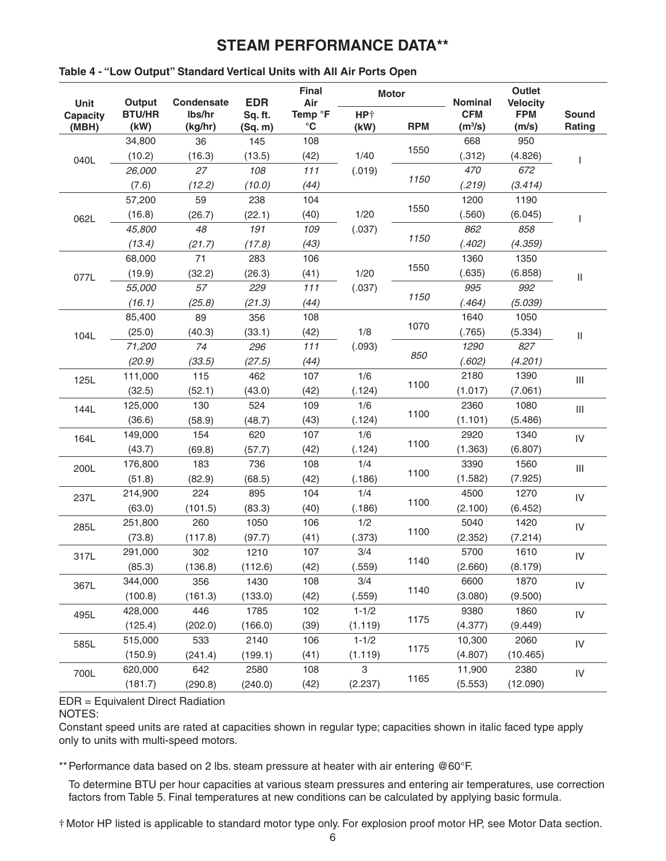# **STEAM PERFORMANCE DATA\*\***

| Unit                     | Output                | <b>Condensate</b> | <b>EDR</b>         | <b>Final</b><br>Air                    |                         | <b>Motor</b> | <b>Nominal</b>                    | Outlet<br><b>Velocity</b> |                                    |
|--------------------------|-----------------------|-------------------|--------------------|----------------------------------------|-------------------------|--------------|-----------------------------------|---------------------------|------------------------------------|
| <b>Capacity</b><br>(MBH) | <b>BTU/HR</b><br>(kW) | lbs/hr<br>(kg/hr) | Sq. ft.<br>(Sq. m) | Temp <sup>o</sup> F<br>$\rm ^{\circ}C$ | HP <sup>+</sup><br>(kW) | <b>RPM</b>   | <b>CFM</b><br>(m <sup>3</sup> /s) | <b>FPM</b><br>(m/s)       | <b>Sound</b><br>Rating             |
|                          | 34,800                | 36                | 145                | 108                                    |                         |              | 668                               | 950                       |                                    |
| 040L                     | (10.2)                | (16.3)            | (13.5)             | (42)                                   | 1/40                    | 1550         | (.312)                            | (4.826)                   |                                    |
|                          | 26,000                | 27                | 108                | $111$                                  | (.019)                  |              | 470                               | 672                       |                                    |
|                          | (7.6)                 | (12.2)            | (10.0)             | (44)                                   |                         | 1150         | (.219)                            | (3.414)                   |                                    |
|                          | 57,200                | 59                | 238                | 104                                    |                         |              | 1200                              | 1190                      |                                    |
| 062L                     | (16.8)                | (26.7)            | (22.1)             | (40)                                   | 1/20                    | 1550         | (.560)                            | (6.045)                   |                                    |
|                          | 45,800                | 48                | 191                | 109                                    | (.037)                  |              | 862                               | 858                       |                                    |
|                          | (13.4)                | (21.7)            | (17.8)             | (43)                                   |                         | 1150         | (.402)                            | (4.359)                   |                                    |
|                          | 68,000                | 71                | 283                | 106                                    |                         |              | 1360                              | 1350                      |                                    |
| 077L                     | (19.9)                | (32.2)            | (26.3)             | (41)                                   | 1/20                    | 1550         | (.635)                            | (6.858)                   | $\ensuremath{\mathsf{II}}$         |
|                          | 55,000                | 57                | 229                | $111$                                  | (.037)                  |              | 995                               | 992                       |                                    |
|                          | (16.1)                | (25.8)            | (21.3)             | (44)                                   |                         | 1150         | (.464)                            | (5.039)                   |                                    |
|                          | 85,400                | 89                | 356                | 108                                    |                         |              | 1640                              | 1050                      |                                    |
| 104L                     | (25.0)                | (40.3)            | (33.1)             | (42)                                   | 1/8                     | 1070         | (.765)                            | (5.334)                   | $\ensuremath{\mathsf{II}}$         |
|                          | 71,200                | 74                | 296                | $111$                                  | (.093)                  |              | 1290                              | 827                       |                                    |
|                          | (20.9)                | (33.5)            | (27.5)             | (44)                                   |                         | 850          | (.602)                            | (4.201)                   |                                    |
| 125L                     | 111,000               | 115               | 462                | 107                                    | 1/6                     |              | 2180                              | 1390                      | $\mathop{\rm III}$                 |
|                          | (32.5)                | (52.1)            | (43.0)             | (42)                                   | (.124)                  | 1100         | (1.017)                           | (7.061)                   |                                    |
| 144L                     | 125,000               | 130               | 524                | 109                                    | 1/6                     |              | 2360                              | 1080                      | $\ensuremath{\mathsf{III}}\xspace$ |
|                          | (36.6)                | (58.9)            | (48.7)             | (43)                                   | (.124)                  | 1100         | (1.101)                           | (5.486)                   |                                    |
| 164L                     | 149,000               | 154               | 620                | 107                                    | 1/6                     |              | 2920                              | 1340                      | IV                                 |
|                          | (43.7)                | (69.8)            | (57.7)             | (42)                                   | (.124)                  | 1100         | (1.363)                           | (6.807)                   |                                    |
| 200L                     | 176,800               | 183               | 736                | 108                                    | 1/4                     |              | 3390                              | 1560                      | $\mathop{\rm III}$                 |
|                          | (51.8)                | (82.9)            | (68.5)             | (42)                                   | (.186)                  | 1100         | (1.582)                           | (7.925)                   |                                    |
| 237L                     | 214,900               | 224               | 895                | 104                                    | 1/4                     |              | 4500                              | 1270                      | IV                                 |
|                          | (63.0)                | (101.5)           | (83.3)             | (40)                                   | (.186)                  | 1100         | (2.100)                           | (6.452)                   |                                    |
| 285L                     | 251,800               | 260               | 1050               | 106                                    | 1/2                     |              | 5040                              | 1420                      | IV                                 |
|                          | (73.8)                | (117.8)           | (97.7)             | (41)                                   | (.373)                  | 1100         | (2.352)                           | (7.214)                   |                                    |
| 317L                     | 291,000               | 302               | 1210               | 107                                    | 3/4                     |              | 5700                              | 1610                      | IV                                 |
|                          | (85.3)                | (136.8)           | (112.6)            | (42)                                   | (.559)                  | 1140         | (2.660)                           | (8.179)                   |                                    |
| 367L                     | 344,000               | 356               | 1430               | 108                                    | 3/4                     |              | 6600                              | 1870                      | ${\sf IV}$                         |
|                          | (100.8)               | (161.3)           | (133.0)            | (42)                                   | (.559)                  | 1140         | (3.080)                           | (9.500)                   |                                    |
| 495L                     | 428,000               | 446               | 1785               | 102                                    | $1 - 1/2$               |              | 9380                              | 1860                      | IV                                 |
|                          | (125.4)               | (202.0)           | (166.0)            | (39)                                   | (1.119)                 | 1175         | (4.377)                           | (9.449)                   |                                    |
| 585L                     | 515,000               | 533               | 2140               | 106                                    | $1 - 1/2$               |              | 10,300                            | 2060                      | ${\sf IV}$                         |
|                          | (150.9)               | (241.4)           | (199.1)            | (41)                                   | (1.119)                 | 1175         | (4.807)                           | (10.465)                  |                                    |
| 700L                     | 620,000               | 642               | 2580               | 108                                    | 3                       |              | 11,900                            | 2380                      | IV                                 |
|                          | (181.7)               | (290.8)           | (240.0)            | (42)                                   | (2.237)                 | 1165         | (5.553)                           | (12.090)                  |                                    |

### **Table 4 - "Low Output" Standard Vertical Units with All Air Ports Open**

# EDR = Equivalent Direct Radiation

NOTES:

Constant speed units are rated at capacities shown in regular type; capacities shown in italic faced type apply only to units with multi-speed motors.

\*\* Performance data based on 2 lbs. steam pressure at heater with air entering @60°F.

 To determine BTU per hour capacities at various steam pressures and entering air temperatures, use correction factors from Table 5. Final temperatures at new conditions can be calculated by applying basic formula.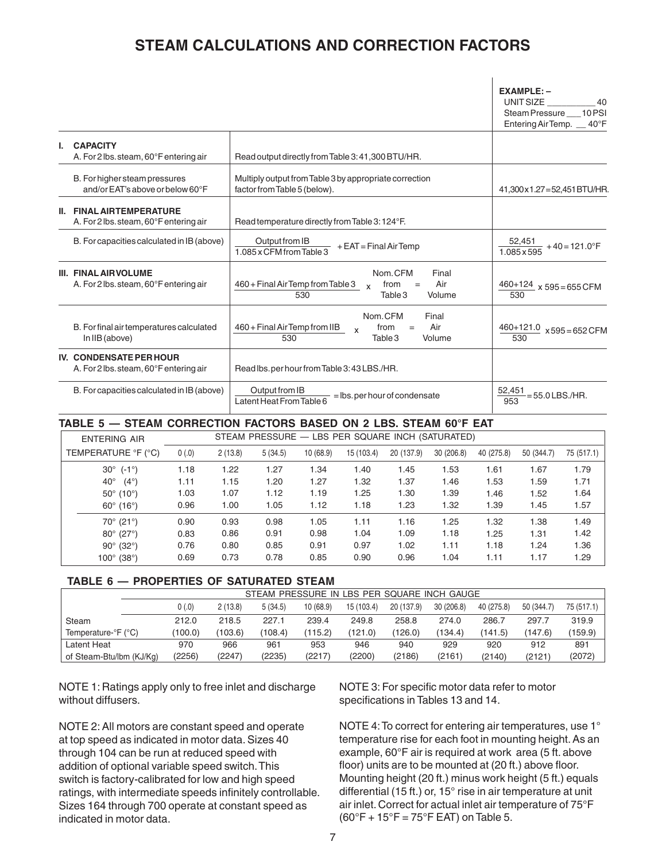# **STEAM CALCULATIONS AND CORRECTION FACTORS**

|                                                                           |                                                                                                                         | $EXAMPLE: -$<br>UNIT SIZE<br>40<br>Steam Pressure 10PSI<br>Entering Air Temp. 40°F |
|---------------------------------------------------------------------------|-------------------------------------------------------------------------------------------------------------------------|------------------------------------------------------------------------------------|
| <b>CAPACITY</b><br>A. For 2 lbs. steam, 60°F entering air                 | Read output directly from Table 3:41,300 BTU/HR.                                                                        |                                                                                    |
| B. For higher steam pressures<br>and/or EAT's above or below 60°F         | Multiply output from Table 3 by appropriate correction<br>factor from Table 5 (below).                                  | 41,300x1.27=52,451BTU/HR.                                                          |
| <b>II. FINAL AIRTEMPERATURE</b><br>A. For 2 lbs. steam, 60°F entering air | Read temperature directly from Table 3: 124°F.                                                                          |                                                                                    |
| B. For capacities calculated in IB (above)                                | Output from IB<br>$+$ EAT = Final Air Temp<br>1.085 x CFM from Table 3                                                  | $\frac{52,451}{1.085\times595}$ + 40 = 121.0°F                                     |
| <b>III. FINAL AIRVOLUME</b><br>A. For 2 lbs. steam, 60°F entering air     | Nom.CFM<br>Final<br>460 + Final Air Temp from Table 3<br>Air<br>from<br>$=$<br>$\mathbf{x}$<br>530<br>Table 3<br>Volume | $\frac{460+124}{x}$ x 595 = 655 CFM<br>530                                         |
| B. For final air temperatures calculated<br>In IIB (above)                | Nom.CFM<br>Final<br>Air<br>460 + Final Air Temp from IIB<br>from<br>$=$<br>$\mathsf{x}$<br>530<br>Volume<br>Table 3     | $\frac{460+121.0}{2}$ x 595 = 652 CFM<br>530                                       |
| <b>IV. CONDENSATE PER HOUR</b><br>A. For 2 lbs. steam, 60°F entering air  | Read lbs.per hour from Table 3:43 LBS./HR.                                                                              |                                                                                    |
| B. For capacities calculated in IB (above)                                | Output from IB<br>= lbs. per hour of condensate<br>Latent Heat From Table 6                                             | 52,451<br>=55.0 LBS./HR.<br>953                                                    |

#### **TABLE 5 — STEAM CORRECTION FACTORS BASED ON 2 LBS. STEAM 60°F EAT**

| <b>ENTERING AIR</b>           |       |         |         |           |            | STEAM PRESSURE - LBS PER SQUARE INCH (SATURATED) |           |            |            |            |
|-------------------------------|-------|---------|---------|-----------|------------|--------------------------------------------------|-----------|------------|------------|------------|
| TEMPERATURE °F (°C)           | 0(.0) | 2(13.8) | 5(34.5) | 10 (68.9) | 15 (103.4) | 20 (137.9)                                       | 30(206.8) | 40 (275.8) | 50 (344.7) | 75 (517.1) |
| $(-1^{\circ})$<br>$30^\circ$  | 1.18  | 1.22    | 1.27    | 1.34      | 1.40       | 1.45                                             | 1.53      | 1.61       | 1.67       | 1.79       |
| $40^{\circ}$<br>$(4^{\circ})$ | 1.11  | 1.15    | 1.20    | 1.27      | 1.32       | 1.37                                             | 1.46      | 1.53       | 1.59       | 1.71       |
| $50^{\circ}$ (10 $^{\circ}$ ) | 1.03  | 1.07    | 1.12    | 1.19      | 1.25       | 1.30                                             | 1.39      | 1.46       | 1.52       | 1.64       |
| $60^{\circ}$ (16°)            | 0.96  | 1.00    | 1.05    | 1.12      | 1.18       | 1.23                                             | 1.32      | 1.39       | 1.45       | 1.57       |
| $70^{\circ}$ (21 $^{\circ}$ ) | 0.90  | 0.93    | 0.98    | 1.05      | 1.11       | 1.16                                             | 1.25      | 1.32       | 1.38       | 1.49       |
| $80^{\circ}$ (27°)            | 0.83  | 0.86    | 0.91    | 0.98      | 1.04       | 1.09                                             | 1.18      | 1.25       | 1.31       | 1.42       |
| $90^{\circ}$ (32°)            | 0.76  | 0.80    | 0.85    | 0.91      | 0.97       | 1.02                                             | 1.11      | 1.18       | 1.24       | 1.36       |
| $100^{\circ}$ (38°)           | 0.69  | 0.73    | 0.78    | 0.85      | 0.90       | 0.96                                             | 1.04      | 1.11       | 1.17       | 1.29       |

#### **TABLE 6 — PROPERTIES OF SATURATED STEAM**

|                                                                                                                            | STEAM PRESSURE IN LBS PER SQUARE INCH GAUGE |         |         |         |         |         |         |         |         |         |  |  |  |
|----------------------------------------------------------------------------------------------------------------------------|---------------------------------------------|---------|---------|---------|---------|---------|---------|---------|---------|---------|--|--|--|
| 0(.0)<br>2(13.8)<br>5(34.5)<br>30(206.8)<br>10(68.9)<br>15 (103.4)<br>20 (137.9)<br>75 (517.1)<br>40 (275.8)<br>50 (344.7) |                                             |         |         |         |         |         |         |         |         |         |  |  |  |
| Steam                                                                                                                      | 212.0                                       | 218.5   | 227.1   | 239.4   | 249.8   | 258.8   | 274.0   | 286.7   | 297.7   | 319.9   |  |  |  |
| Temperature-°F (°C)                                                                                                        | (100.0)                                     | (103.6) | (108.4) | (115.2) | (121.0) | (126.0) | (134.4) | (141.5) | (147.6) | (159.9) |  |  |  |
| Latent Heat                                                                                                                | 970                                         | 966     | 961     | 953     | 946     | 940     | 929     | 920     | 912     | 891     |  |  |  |
| of Steam-Btu/lbm (KJ/Kg)                                                                                                   | (2256)                                      | (2247)  | (2235)  | (2217)  | (2200)  | (2186)  | (2161)  | (2140)  | (2121)  | (2072)  |  |  |  |

NOTE 1: Ratings apply only to free inlet and discharge without diffusers.

NOTE 2: All motors are constant speed and operate at top speed as indicated in motor data. Sizes 40 through 104 can be run at reduced speed with addition of optional variable speed switch. This switch is factory-calibrated for low and high speed ratings, with intermediate speeds infinitely controllable. Sizes 164 through 700 operate at constant speed as indicated in motor data.

NOTE 3: For specific motor data refer to motor specifications in Tables 13 and 14.

NOTE 4: To correct for entering air temperatures, use 1° temperature rise for each foot in mounting height. As an example, 60°F air is required at work area (5 ft. above floor) units are to be mounted at (20 ft.) above floor. Mounting height (20 ft.) minus work height (5 ft.) equals differential (15 ft.) or, 15° rise in air temperature at unit air inlet. Correct for actual inlet air temperature of 75°F  $(60°F + 15°F = 75°F$  EAT) on Table 5.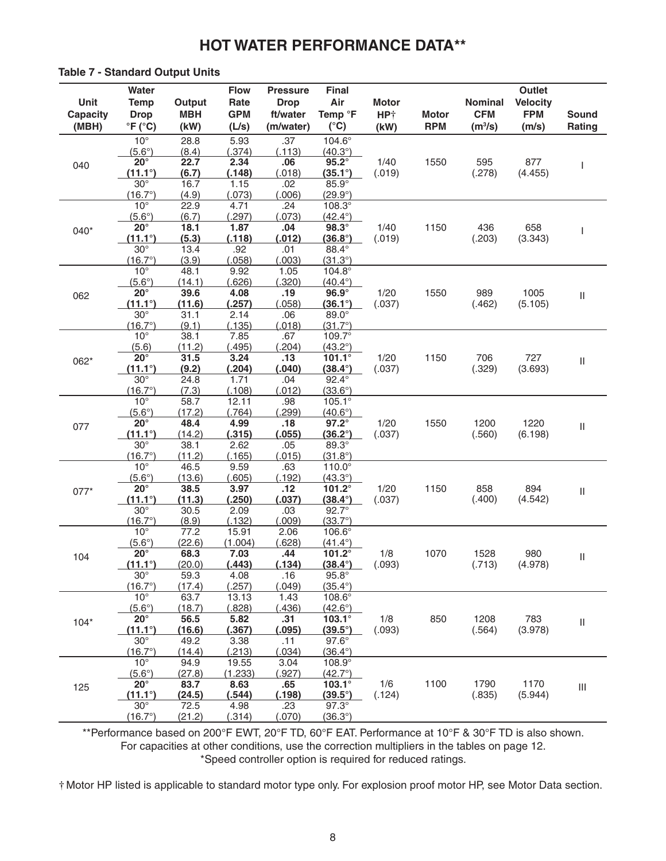#### **Table 7 - Standard Output Units**

| Unit<br>Capacity<br>(MBH) | Water<br><b>Temp</b><br><b>Drop</b><br>$\degree$ F ( $\degree$ C)                                   | Output<br><b>MBH</b><br>(kW)                       | <b>Flow</b><br>Rate<br><b>GPM</b><br>(L/s)           | <b>Pressure</b><br><b>Drop</b><br>ft/water<br>(m/water) | Final<br>Air<br>Temp °F<br>$(^{\circ}C)$                                                                      | <b>Motor</b><br>HP <sup>+</sup><br>(kW) | <b>Motor</b><br><b>RPM</b> | <b>Nominal</b><br><b>CFM</b><br>(m <sup>3</sup> /s) | <b>Outlet</b><br><b>Velocity</b><br><b>FPM</b><br>(m/s) | <b>Sound</b><br>Rating             |
|---------------------------|-----------------------------------------------------------------------------------------------------|----------------------------------------------------|------------------------------------------------------|---------------------------------------------------------|---------------------------------------------------------------------------------------------------------------|-----------------------------------------|----------------------------|-----------------------------------------------------|---------------------------------------------------------|------------------------------------|
| 040                       | $10^{\circ}$<br>$(5.6^\circ)$<br>$20^{\circ}$<br>$(11.1^{\circ})$<br>$30^\circ$<br>$(16.7^{\circ})$ | 28.8<br>(8.4)<br>22.7<br>(6.7)<br>16.7<br>(4.9)    | 5.93<br>(.374)<br>2.34<br>(.148)<br>1.15<br>(.073)   | .37<br>(.113)<br>.06<br>(.018)<br>.02<br>(.006)         | 104.6°<br>$(40.3^{\circ})$<br>$95.2^\circ$<br>$(35.1^{\circ})$<br>$85.9^\circ$<br>$(29.9^{\circ})$            | 1/40<br>(.019)                          | 1550                       | 595<br>(.278)                                       | 877<br>(4.455)                                          | ı                                  |
| 040*                      | $10^{\circ}$<br>$(5.6^\circ)$<br>$20^{\circ}$<br>$(11.1^{\circ})$<br>$30^\circ$<br>$(16.7^{\circ})$ | 22.9<br>(6.7)<br>18.1<br>(5.3)<br>13.4<br>(3.9)    | 4.71<br>(.297)<br>1.87<br>(.118)<br>.92<br>(.058)    | .24<br>(.073)<br>.04<br>(.012)<br>.01<br>(.003)         | $108.3^\circ$<br>$(42.4^{\circ})$<br>$98.3^\circ$<br>$(36.8^{\circ})$<br>88.4°<br>$(31.3^{\circ})$            | 1/40<br>(.019)                          | 1150                       | 436<br>(.203)                                       | 658<br>(3.343)                                          | ı                                  |
| 062                       | $10^{\circ}$<br>$(5.6^\circ)$<br>$20^{\circ}$<br>$(11.1^{\circ})$<br>$30^\circ$<br>$(16.7^{\circ})$ | 48.1<br>(14.1)<br>39.6<br>(11.6)<br>31.1<br>(9.1)  | 9.92<br>(.626)<br>4.08<br>(.257)<br>2.14<br>(.135)   | 1.05<br>(.320)<br>.19<br>(.058)<br>.06<br>(018)         | $104.8^\circ$<br>$(40.4^{\circ})$<br>$96.9^\circ$<br>$(36.1^{\circ})$<br>89.0°<br>$(31.7^{\circ})$            | 1/20<br>(.037)                          | 1550                       | 989<br>(.462)                                       | 1005<br>(5.105)                                         | $\ensuremath{\mathsf{II}}$         |
| 062*                      | $10^{\circ}$<br>(5.6)<br>$20^{\circ}$<br>$(11.1^{\circ})$<br>$30^\circ$<br>$(16.7^{\circ})$         | 38.1<br>(11.2)<br>31.5<br>(9.2)<br>24.8<br>(7.3)   | 7.85<br>(.495)<br>3.24<br>(.204)<br>1.71<br>(.108)   | .67<br>(.204)<br>.13<br>(.040)<br>.04<br>.012)          | 109.7°<br>$(43.2^{\circ})$<br>$101.1^\circ$<br>$(38.4^{\circ})$<br>$92.4^\circ$<br>$(33.6^{\circ})$           | 1/20<br>(.037)                          | 1150                       | 706<br>(.329)                                       | 727<br>(3.693)                                          | $\ensuremath{\mathsf{II}}$         |
| 077                       | $10^{\circ}$<br>$(5.6^\circ)$<br>$20^{\circ}$<br>$(11.1^{\circ})$<br>$30^\circ$<br>$(16.7^{\circ})$ | 58.7<br>(17.2)<br>48.4<br>(14.2)<br>38.1<br>(11.2) | 12.11<br>(.764)<br>4.99<br>(.315)<br>2.62<br>(.165)  | .98<br>(.299)<br>.18<br>(.055)<br>.05<br>(015)          | $105.1^{\circ}$<br>$(40.6^{\circ})$<br>$97.2^\circ$<br>$(36.2^{\circ})$<br>89.3°<br>$(31.8^{\circ})$          | 1/20<br>(.037)                          | 1550                       | 1200<br>(.560)                                      | 1220<br>(6.198)                                         | $\ensuremath{\mathsf{II}}$         |
| $077*$                    | $10^{\circ}$<br>$(5.6^\circ)$<br>$20^{\circ}$<br>$(11.1^{\circ})$<br>$30^\circ$<br>$(16.7^{\circ})$ | 46.5<br>(13.6)<br>38.5<br>(11.3)<br>30.5<br>(8.9)  | 9.59<br>(.605)<br>3.97<br>(.250)<br>2.09<br>(.132)   | .63<br>(.192)<br>.12<br>(.037)<br>.03<br>.009)          | $110.0^\circ$<br>$(43.3^{\circ})$<br>101.2°<br>$(38.4^{\circ})$<br>$92.7^\circ$<br>$(33.7^{\circ})$           | 1/20<br>(.037)                          | 1150                       | 858<br>(.400)                                       | 894<br>(4.542)                                          | $\ensuremath{\mathsf{II}}$         |
| 104                       | $10^{\circ}$<br>$(5.6^\circ)$<br>$20^{\circ}$<br>$(11.1^{\circ})$<br>$30^\circ$<br>$(16.7^{\circ})$ | 77.2<br>(22.6)<br>68.3<br>(20.0)<br>59.3<br>(17.4) | 15.91<br>(1.004)<br>7.03<br>(.443)<br>4.08<br>(.257) | 2.06<br>(.628)<br>.44<br>(.134)<br>.16<br>(.049)        | $106.6^\circ$<br>$(41.4^{\circ})$<br>101.2 $^{\circ}$<br>$(38.4^{\circ})$<br>$95.8^\circ$<br>$(35.4^{\circ})$ | 1/8<br>(.093)                           | 1070                       | 1528<br>(.713)                                      | 980<br>(4.978)                                          | Ш                                  |
| $104*$                    | $10^{\circ}$<br>$(5.6^\circ)$<br>$20^{\circ}$<br>$(11.1^{\circ})$<br>$30^\circ$<br>$(16.7^{\circ})$ | 63.7<br>(18.7)<br>56.5<br>(16.6)<br>49.2<br>(14.4) | 13.13<br>(.828)<br>5.82<br>(.367)<br>3.38<br>(.213)  | 1.43<br>(.436)<br>.31<br>(.095)<br>.11<br>(.034)        | 108.6°<br>$(42.6^{\circ})$<br>103.1°<br>$(39.5^{\circ})$<br>$97.6^\circ$<br>$(36.4^{\circ})$                  | 1/8<br>(.093)                           | 850                        | 1208<br>(.564)                                      | 783<br>(3.978)                                          | $\sf II$                           |
| 125                       | $10^{\circ}$<br>$(5.6^\circ)$<br>$20^{\circ}$<br>$(11.1^{\circ})$<br>$30^\circ$<br>$(16.7^{\circ})$ | 94.9<br>(27.8)<br>83.7<br>(24.5)<br>72.5<br>(21.2) | 19.55<br>(1.233)<br>8.63<br>(.544)<br>4.98<br>(.314) | 3.04<br>(.927)<br>.65<br>(.198)<br>.23<br>(.070)        | 108.9°<br>$(42.7^{\circ})$<br>$103.1^\circ$<br>$(39.5^{\circ})$<br>$97.3^\circ$<br>$(36.3^{\circ})$           | 1/6<br>(.124)                           | 1100                       | 1790<br>(.835)                                      | 1170<br>(5.944)                                         | $\ensuremath{\mathsf{III}}\xspace$ |

\*\*Performance based on 200°F EWT, 20°F TD, 60°F EAT. Performance at 10°F & 30°F TD is also shown. For capacities at other conditions, use the correction multipliers in the tables on page 12. \*Speed controller option is required for reduced ratings.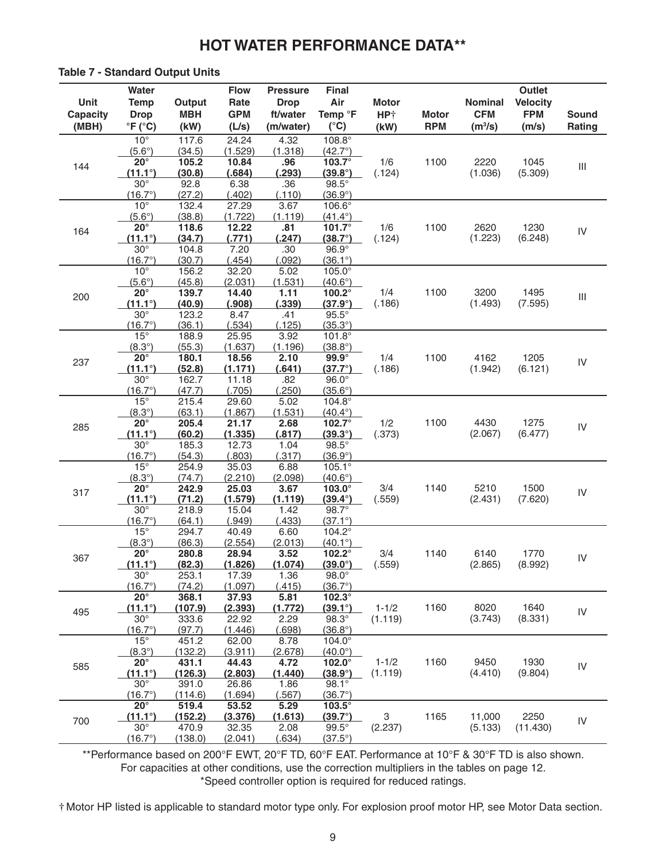#### **Table 7 - Standard Output Units**

| Unit<br>Capacity | Water<br><b>Temp</b><br><b>Drop</b> | Output<br><b>MBH</b> | <b>Flow</b><br>Rate<br><b>GPM</b> | <b>Pressure</b><br><b>Drop</b><br>ft/water | Final<br>Air<br>Temp °F            | <b>Motor</b><br>HP <sup>+</sup> | <b>Motor</b> | <b>Nominal</b><br><b>CFM</b> | Outlet<br><b>Velocity</b><br><b>FPM</b> | <b>Sound</b>                       |
|------------------|-------------------------------------|----------------------|-----------------------------------|--------------------------------------------|------------------------------------|---------------------------------|--------------|------------------------------|-----------------------------------------|------------------------------------|
| (MBH)            | $\degree$ F ( $\degree$ C)          | (kW)                 | (L/s)                             | (m/water)                                  | $(^{\circ}C)$                      | (kW)                            | <b>RPM</b>   | (m <sup>3</sup> /s)          | (m/s)                                   | Rating                             |
|                  | $10^{\circ}$                        | 117.6                | 24.24                             | 4.32<br>(1.318)                            | 108.8°                             |                                 |              |                              |                                         |                                    |
|                  | $(5.6^\circ)$<br>$20^{\circ}$       | (34.5)<br>105.2      | (1.529)<br>10.84                  | .96                                        | $(42.7^{\circ})$<br>$103.7^\circ$  | 1/6                             | 1100         | 2220                         | 1045                                    |                                    |
| 144              | $(11.1^{\circ})$                    | (30.8)               | (.684)                            | (.293)                                     | $(39.8^{\circ})$                   | (.124)                          |              | (1.036)                      | (5.309)                                 | $\ensuremath{\mathsf{III}}\xspace$ |
|                  | $30^\circ$                          | 92.8                 | 6.38                              | .36                                        | $98.5^\circ$                       |                                 |              |                              |                                         |                                    |
|                  | $(16.7^{\circ})$                    | (27.2)               | (.402)                            | (.110)                                     | (36.9°)                            |                                 |              |                              |                                         |                                    |
|                  | $10^{\circ}$                        | 132.4                | 27.29                             | 3.67                                       | 106.6°                             |                                 |              |                              |                                         |                                    |
|                  | $(5.6^\circ)$                       | (38.8)               | (1.722)                           | (1.119)                                    | $(41.4^{\circ})$                   |                                 |              |                              |                                         |                                    |
| 164              | $20^{\circ}$<br>$(11.1^{\circ})$    | 118.6<br>(34.7)      | 12.22<br>(.771)                   | .81<br>(.247)                              | 101.7 $^{\circ}$<br>$(38.7^\circ)$ | 1/6<br>(.124)                   | 1100         | 2620<br>(1.223)              | 1230<br>(6.248)                         | ${\sf IV}$                         |
|                  | $30^\circ$                          | 104.8                | 7.20                              | .30                                        | $96.9^\circ$                       |                                 |              |                              |                                         |                                    |
|                  | $(16.7^{\circ})$                    | (30.7)               | (.454)                            | (0.092)                                    | $(36.1^{\circ})$                   |                                 |              |                              |                                         |                                    |
|                  | $10^{\circ}$                        | 156.2                | 32.20                             | 5.02                                       | $105.0^\circ$                      |                                 |              |                              |                                         |                                    |
|                  | $(5.6^\circ)$                       | (45.8)               | (2.031)                           | (1.531)                                    | $(40.6^{\circ})$                   |                                 |              |                              |                                         |                                    |
| 200              | $20^{\circ}$                        | 139.7                | 14.40                             | 1.11                                       | 100.2°                             | 1/4                             | 1100         | 3200                         | 1495                                    | $\ensuremath{\mathsf{III}}\xspace$ |
|                  | $(11.1^{\circ})$                    | (40.9)               | (.908)                            | (.339)                                     | $(37.9^{\circ})$                   | (.186)                          |              | (1.493)                      | (7.595)                                 |                                    |
|                  | $30^\circ$<br>$(16.7^{\circ})$      | 123.2<br>(36.1)      | 8.47<br>(.534)                    | .41<br>(.125)                              | $95.5^\circ$<br>$(35.3^{\circ})$   |                                 |              |                              |                                         |                                    |
|                  | $15^{\circ}$                        | 188.9                | 25.95                             | 3.92                                       | $101.8^\circ$                      |                                 |              |                              |                                         |                                    |
|                  | $(8.3^\circ)$                       | (55.3)               | (1.637)                           | (1.196)                                    | $(38.8^{\circ})$                   |                                 |              |                              |                                         |                                    |
| 237              | $20^{\circ}$                        | 180.1                | 18.56                             | 2.10                                       | $99.9^\circ$                       | 1/4                             | 1100         | 4162                         | 1205                                    | ${\sf IV}$                         |
|                  | $(11.1^{\circ})$                    | (52.8)               | (1.171)                           | (.641)                                     | $(37.7^{\circ})$                   | (.186)                          |              | (1.942)                      | (6.121)                                 |                                    |
|                  | $30^\circ$                          | 162.7                | 11.18                             | .82                                        | $96.0^\circ$                       |                                 |              |                              |                                         |                                    |
|                  | $(16.7^{\circ})$<br>$15^\circ$      | (47.7)               | (.705)                            | (.250)                                     | $(35.6^{\circ})$                   |                                 |              |                              |                                         |                                    |
|                  | $(8.3^\circ)$                       | 215.4<br>(63.1)      | 29.60<br>(1.867)                  | 5.02<br>(1.531)                            | $104.8^\circ$<br>$(40.4^{\circ})$  |                                 |              |                              |                                         |                                    |
|                  | $20^{\circ}$                        | 205.4                | 21.17                             | 2.68                                       | 102.7 $^{\circ}$                   | 1/2                             | 1100         | 4430                         | 1275                                    |                                    |
| 285              | $(11.1^{\circ})$                    | (60.2)               | (1.335)                           | (.817)                                     | $(39.3^{\circ})$                   | (.373)                          |              | (2.067)                      | (6.477)                                 | ${\sf IV}$                         |
|                  | $30^\circ$                          | 185.3                | 12.73                             | 1.04                                       | $98.5^\circ$                       |                                 |              |                              |                                         |                                    |
|                  | $(16.7^{\circ})$                    | (54.3)               | (.803)                            | (.317)                                     | (36.9°)                            |                                 |              |                              |                                         |                                    |
|                  | $15^\circ$                          | 254.9                | 35.03                             | 6.88                                       | $105.1^{\circ}$                    |                                 |              |                              |                                         |                                    |
|                  | $(8.3^\circ)$<br>$20^{\circ}$       | (74.7)<br>242.9      | (2.210)<br>25.03                  | (2.098)<br>3.67                            | $(40.6^{\circ})$<br>103.0°         | 3/4                             | 1140         | 5210                         | 1500                                    |                                    |
| 317              | $(11.1^{\circ})$                    | (71.2)               | (1.579)                           | (1.119)                                    | $(39.4^{\circ})$                   | (.559)                          |              | (2.431)                      | (7.620)                                 | ${\sf IV}$                         |
|                  | $30^\circ$                          | 218.9                | 15.04                             | 1.42                                       | 98.7°                              |                                 |              |                              |                                         |                                    |
|                  | $(16.7^{\circ})$                    | (64.1)               | (.949)                            | (.433)                                     | $(37.1^{\circ})$                   |                                 |              |                              |                                         |                                    |
|                  | $15^{\circ}$                        | 294.7                | 40.49                             | 6.60                                       | 104.2°                             |                                 |              |                              |                                         |                                    |
|                  | $(8.3^\circ)$                       | (86.3)               | (2.554)                           | (2.013)                                    | $(40.1^{\circ})$                   |                                 |              |                              |                                         |                                    |
| 367              | $20^{\circ}$                        | 280.8                | 28.94                             | 3.52                                       | 102.2°                             | 3/4                             | 1140         | 6140                         | 1770                                    | ${\sf IV}$                         |
|                  | $(11.1^{\circ})$<br>$30^\circ$      | (82.3)<br>253.1      | (1.826)<br>17.39                  | (1.074)<br>1.36                            | $(39.0^{\circ})$<br>$98.0^\circ$   | (.559)                          |              | (2.865)                      | (8.992)                                 |                                    |
|                  | $(16.7^{\circ})$                    | (74.2)               | (1.097)                           | (.415)                                     | $(36.7^{\circ})$                   |                                 |              |                              |                                         |                                    |
|                  | $20^\circ$                          | 368.1                | 37.93                             | 5.81                                       | 102.3°                             |                                 |              |                              |                                         |                                    |
| 495              | $(11.1^{\circ})$                    | (107.9)              | (2.393)                           | (1.772)                                    | $(39.1^{\circ})$                   | $1 - 1/2$                       | 1160         | 8020                         | 1640                                    | IV                                 |
|                  | $30^\circ$                          | 333.6                | 22.92                             | 2.29                                       | $98.3^\circ$                       | (1.119)                         |              | (3.743)                      | (8.331)                                 |                                    |
|                  | $(16.7^{\circ})$                    | (97.7)               | (1.446)                           | (.698)                                     | $(36.8^{\circ})$                   |                                 |              |                              |                                         |                                    |
|                  | $15^\circ$                          | 451.2                | 62.00                             | 8.78<br>(2.678)                            | $104.0^\circ$                      |                                 |              |                              |                                         |                                    |
|                  | $(8.3^\circ)$<br>$20^{\circ}$       | (132.2)<br>431.1     | (3.911)<br>44.43                  | 4.72                                       | $(40.0^{\circ})$<br>$102.0^\circ$  | $1 - 1/2$                       | 1160         | 9450                         | 1930                                    |                                    |
| 585              | $(11.1^{\circ})$                    | (126.3)              | (2.803)                           | (1.440)                                    | $(38.9^{\circ})$                   | (1.119)                         |              | (4.410)                      | (9.804)                                 | ${\sf IV}$                         |
|                  | $30^\circ$                          | 391.0                | 26.86                             | 1.86                                       | 98.1°                              |                                 |              |                              |                                         |                                    |
|                  | $(16.7^{\circ})$                    | (114.6)              | (1.694)                           | (.567)                                     | $(36.7^{\circ})$                   |                                 |              |                              |                                         |                                    |
|                  | $20^{\circ}$                        | 519.4                | 53.52                             | 5.29                                       | $103.5^\circ$                      |                                 |              |                              |                                         |                                    |
| 700              | $(11.1^{\circ})$                    | (152.2)              | (3.376)                           | (1.613)                                    | $(39.7^{\circ})$                   | 3                               | 1165         | 11,000                       | 2250                                    | ${\sf IV}$                         |
|                  | $30^\circ$<br>$(16.7^{\circ})$      | 470.9<br>(138.0)     | 32.35<br>(2.041)                  | 2.08<br>(.634)                             | $99.5^\circ$<br>$(37.5^{\circ})$   | (2.237)                         |              | (5.133)                      | (11.430)                                |                                    |
|                  |                                     |                      |                                   |                                            |                                    |                                 |              |                              |                                         |                                    |

\*\*Performance based on 200°F EWT, 20°F TD, 60°F EAT. Performance at 10°F & 30°F TD is also shown. For capacities at other conditions, use the correction multipliers in the tables on page 12. \*Speed controller option is required for reduced ratings.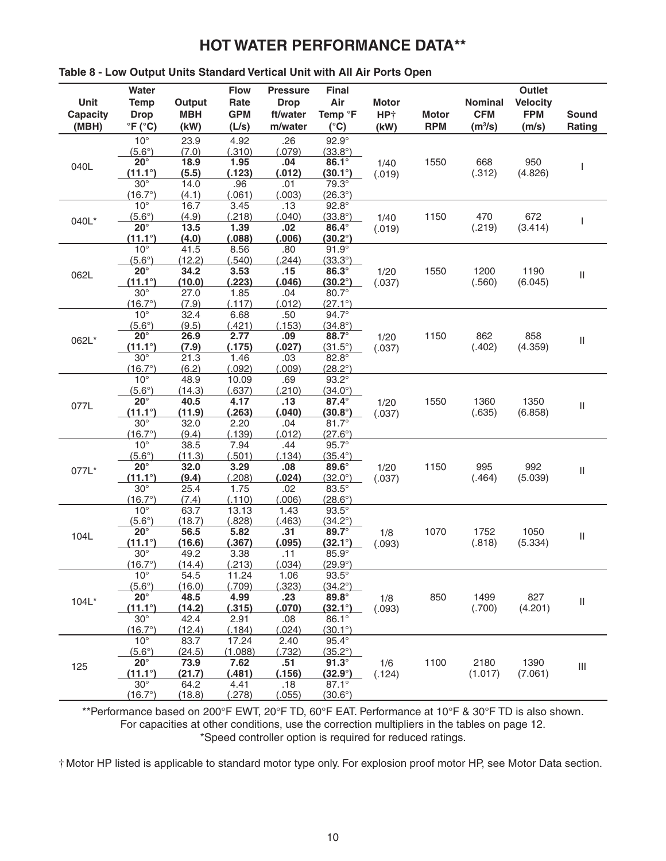| rable o - Low Output Offits Standard Vertical Offit With Air Ports Open |                                               |                      |                    |                         |                                  |                         |              |                              |                               |                                    |
|-------------------------------------------------------------------------|-----------------------------------------------|----------------------|--------------------|-------------------------|----------------------------------|-------------------------|--------------|------------------------------|-------------------------------|------------------------------------|
|                                                                         | Water                                         |                      | <b>Flow</b>        | <b>Pressure</b>         | <b>Final</b>                     |                         |              |                              | Outlet                        |                                    |
| Unit<br><b>Capacity</b>                                                 | <b>Temp</b><br><b>Drop</b>                    | Output<br><b>MBH</b> | Rate<br><b>GPM</b> | <b>Drop</b><br>ft/water | Air<br>Temp <sup>o</sup> F       | <b>Motor</b>            | <b>Motor</b> | <b>Nominal</b><br><b>CFM</b> | <b>Velocity</b><br><b>FPM</b> | <b>Sound</b>                       |
| (MBH)                                                                   | $\mathrm{^{\circ}F}$ ( $\mathrm{^{\circ}C}$ ) | (kW)                 | (L/s)              | m/water                 | $(^{\circ}C)$                    | HP <sup>+</sup><br>(kW) | <b>RPM</b>   | (m <sup>3</sup> /s)          | (m/s)                         | Rating                             |
|                                                                         | $10^{\circ}$                                  | 23.9                 | 4.92               | .26                     | $92.9^\circ$                     |                         |              |                              |                               |                                    |
|                                                                         | $(5.6^\circ)$                                 | (7.0)                | (.310)             | (.079)                  | $(33.8^{\circ})$                 |                         |              |                              |                               |                                    |
|                                                                         | $20^\circ$                                    | 18.9                 | 1.95               | .04                     | 86.1°                            | 1/40                    | 1550         | 668                          | 950                           |                                    |
| 040L                                                                    | $(11.1^{\circ})$                              | (5.5)                | (.123)             | (.012)                  | $(30.1^{\circ})$                 | (.019)                  |              | (.312)                       | (4.826)                       | T                                  |
|                                                                         | $30^\circ$                                    | 14.0                 | .96                | .01                     | 79.3°                            |                         |              |                              |                               |                                    |
|                                                                         | $(16.7^{\circ})$                              | (4.1)                | (.061)             | (.003)                  | $(26.3^{\circ})$                 |                         |              |                              |                               |                                    |
|                                                                         | $10^{\circ}$                                  | 16.7                 | 3.45               | .13                     | $92.8^\circ$                     |                         |              |                              |                               |                                    |
| 040L*                                                                   | $(5.6^\circ)$                                 | (4.9)                | (.218)             | (.040)                  | $(33.8^{\circ})$                 | 1/40                    | 1150         | 470                          | 672                           | T                                  |
|                                                                         | $20^{\circ}$                                  | 13.5                 | 1.39               | .02                     | 86.4°                            | (.019)                  |              | (.219)                       | (3.414)                       |                                    |
|                                                                         | $(11.1^{\circ})$<br>$10^{\circ}$              | (4.0)<br>41.5        | (.088)<br>8.56     | (.006)<br>.80           | $(30.2^{\circ})$<br>$91.9^\circ$ |                         |              |                              |                               |                                    |
|                                                                         | $(5.6^\circ)$                                 | (12.2)               | (.540)             | (.244)                  | $(33.3^{\circ})$                 |                         |              |                              |                               |                                    |
|                                                                         | $20^{\circ}$                                  | 34.2                 | 3.53               | .15                     | 86.3°                            | 1/20                    | 1550         | 1200                         | 1190                          |                                    |
| 062L                                                                    | $(11.1^{\circ})$                              | (10.0)               | (.223)             | (.046)                  | $(30.2^\circ)$                   | (.037)                  |              | (.560)                       | (6.045)                       | Ш                                  |
|                                                                         | $30^\circ$                                    | 27.0                 | 1.85               | .04                     | 80.7°                            |                         |              |                              |                               |                                    |
|                                                                         | $(16.7^{\circ})$                              | (7.9)                | (.117)             | (.012)                  | $(27.1^{\circ})$                 |                         |              |                              |                               |                                    |
|                                                                         | $10^{\circ}$                                  | 32.4                 | 6.68               | .50                     | 94.7°                            |                         |              |                              |                               |                                    |
|                                                                         | $(5.6^\circ)$                                 | (9.5)                | (.421)             | (.153)                  | $(34.8^{\circ})$                 |                         |              |                              |                               |                                    |
| 062L*                                                                   | $20^{\circ}$                                  | 26.9                 | 2.77               | .09                     | 88.7°                            | 1/20                    | 1150         | 862                          | 858                           | $\ensuremath{\mathsf{II}}$         |
|                                                                         | $(11.1^{\circ})$                              | (7.9)                | (.175)             | (.027)                  | $(31.5^{\circ})$                 | (.037)                  |              | (.402)                       | (4.359)                       |                                    |
|                                                                         | $30^\circ$<br>$(16.7^{\circ})$                | 21.3<br>(6.2)        | 1.46<br>(.092)     | .03<br>.009)            | 82.8°<br>$(28.2^{\circ})$        |                         |              |                              |                               |                                    |
|                                                                         | $10^{\circ}$                                  | 48.9                 | 10.09              | .69                     | $93.2^\circ$                     |                         |              |                              |                               |                                    |
|                                                                         | $(5.6^\circ)$                                 | (14.3)               | (.637)             | (.210)                  | $(34.0^{\circ})$                 |                         |              |                              |                               |                                    |
|                                                                         | $20^{\circ}$                                  | 40.5                 | 4.17               | .13                     | $87.4^\circ$                     | 1/20                    | 1550         | 1360                         | 1350<br>(6.858)               |                                    |
| 077L                                                                    | $(11.1^{\circ})$                              | (11.9)               | (.263)             | (.040)                  | $(30.8^{\circ})$                 | (.037)                  |              | (.635)                       |                               | $\ensuremath{\mathsf{II}}$         |
|                                                                         | $30^\circ$                                    | 32.0                 | 2.20               | .04                     | $81.7^\circ$                     |                         |              |                              |                               |                                    |
|                                                                         | $(16.7^{\circ})$                              | (9.4)                | (.139)             | (.012)                  | $(27.6^{\circ})$                 |                         |              |                              |                               |                                    |
|                                                                         | $10^{\circ}$                                  | 38.5                 | 7.94               | .44                     | $95.7^\circ$                     |                         |              |                              |                               |                                    |
|                                                                         | $(5.6^\circ)$                                 | (11.3)               | (.501)             | (.134)                  | $(35.4^{\circ})$                 |                         |              |                              |                               |                                    |
| 077L*                                                                   | $20^{\circ}$                                  | 32.0                 | 3.29               | .08                     | 89.6°                            | 1/20                    | 1150         | 995                          | 992                           | $\ensuremath{\mathsf{II}}$         |
|                                                                         | $(11.1^{\circ})$<br>$30^\circ$                | (9.4)                | (.208)             | (.024)                  | $(32.0^{\circ})$<br>83.5°        | (.037)                  |              | (.464)                       | (5.039)                       |                                    |
|                                                                         | $(16.7^{\circ})$                              | 25.4<br>(7.4)        | 1.75<br>(.110)     | .02<br>(.006)           | $(28.6^{\circ})$                 |                         |              |                              |                               |                                    |
|                                                                         | $10^{\circ}$                                  | 63.7                 | 13.13              | 1.43                    | $93.5^\circ$                     |                         |              |                              |                               |                                    |
|                                                                         | $(5.6^\circ)$                                 | (18.7)               | (.828)             | (.463)                  | $(34.2^{\circ})$                 |                         |              |                              |                               |                                    |
| 104L                                                                    | $20^{\circ}$                                  | 56.5                 | 5.82               | .31                     | 89.7°                            | 1/8                     | 1070         | 1752                         | 1050                          | $\sf II$                           |
|                                                                         | $(11.1^{\circ})$                              | (16.6)               | (.367)             | (.095)                  | $(32.1^{\circ})$                 | (.093)                  |              | (.818)                       | (5.334)                       |                                    |
|                                                                         | $30^\circ$                                    | 49.2                 | 3.38               | .11                     | 85.9°                            |                         |              |                              |                               |                                    |
|                                                                         | $(16.7^{\circ})$                              | (14.4)               | (.213)             | (.034)                  | $(29.9^{\circ})$                 |                         |              |                              |                               |                                    |
|                                                                         | $10^{\circ}$                                  | 54.5                 | 11.24              | 1.06                    | $93.5^\circ$                     |                         |              |                              |                               |                                    |
|                                                                         | $(5.6^\circ)$                                 | (16.0)               | (.709)             | (.323)                  | $(34.2^{\circ})$                 |                         |              |                              |                               |                                    |
| 104L*                                                                   | $20^{\circ}$                                  | 48.5                 | 4.99               | .23                     | $89.8^\circ$                     | 1/8                     | 850          | 1499                         | 827                           | $\sf II$                           |
|                                                                         | $(11.1^{\circ})$<br>$30^\circ$                | (14.2)<br>42.4       | (.315)<br>2.91     | (.070)<br>.08           | $(32.1^{\circ})$<br>86.1°        | (.093)                  |              | (.700)                       | (4.201)                       |                                    |
|                                                                         | $(16.7^{\circ})$                              | (12.4)               | (.184)             | (.024)                  | $(30.1^{\circ})$                 |                         |              |                              |                               |                                    |
|                                                                         | $10^{\circ}$                                  | 83.7                 | 17.24              | 2.40                    | $95.4^{\circ}$                   |                         |              |                              |                               |                                    |
|                                                                         | $(5.6^{\circ})$                               | (24.5)               | (1.088)            | (.732)                  | $(35.2^{\circ})$                 |                         |              |                              |                               |                                    |
| 125                                                                     | $20^{\circ}$                                  | 73.9                 | 7.62               | .51                     | $91.3^\circ$                     | 1/6                     | 1100         | 2180                         | 1390                          | $\ensuremath{\mathsf{III}}\xspace$ |
|                                                                         | $(11.1^{\circ})$                              | (21.7)               | (.481)             | (.156)                  | $(32.9^\circ)$                   | (.124)                  |              | (1.017)                      | (7.061)                       |                                    |
|                                                                         | $30^\circ$                                    | 64.2                 | 4.41               | .18                     | 87.1°                            |                         |              |                              |                               |                                    |
|                                                                         | (16.7°)                                       | (18.8)               | (.278)             | (.055)                  | $(30.6^{\circ})$                 |                         |              |                              |                               |                                    |

# **Table 8 - Low Output Units Standard Vertical Unit with All Air Ports Open**

\*\*Performance based on 200°F EWT, 20°F TD, 60°F EAT. Performance at 10°F & 30°F TD is also shown. For capacities at other conditions, use the correction multipliers in the tables on page 12. \*Speed controller option is required for reduced ratings.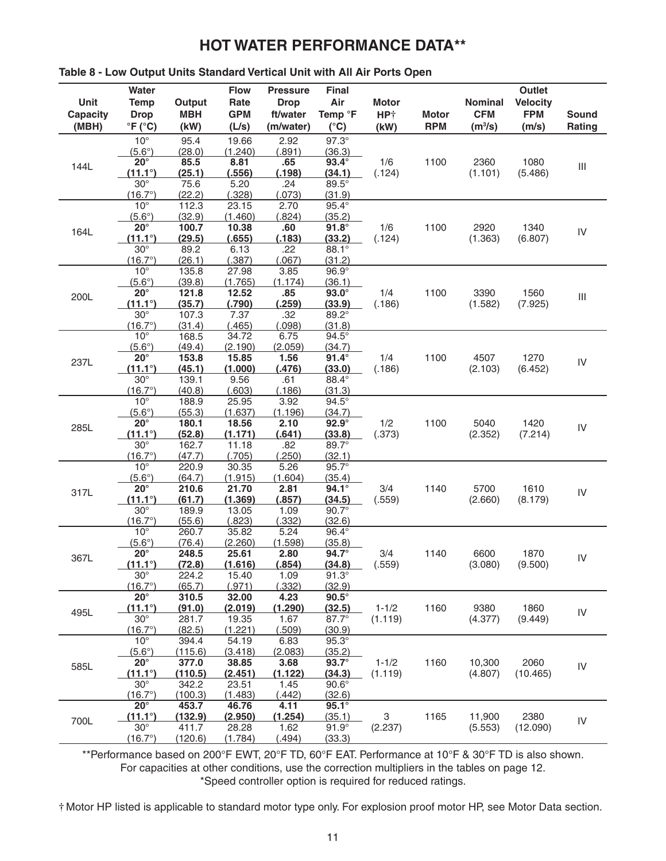|                 | Water                            |                        | <b>Flow</b>      | <b>Pressure</b>       | <b>Final</b>           |                 |              |                     | Outlet          |                                    |  |
|-----------------|----------------------------------|------------------------|------------------|-----------------------|------------------------|-----------------|--------------|---------------------|-----------------|------------------------------------|--|
| Unit            | <b>Temp</b>                      | Output                 | Rate             | <b>Drop</b>           | Air                    | <b>Motor</b>    |              | Nominal             | <b>Velocity</b> |                                    |  |
| <b>Capacity</b> | <b>Drop</b>                      | <b>MBH</b>             | <b>GPM</b>       | ft/water              | Temp <sup>o</sup> F    | HP <sup>+</sup> | <b>Motor</b> | <b>CFM</b>          | <b>FPM</b>      | <b>Sound</b>                       |  |
| (MBH)           | $\mathrm{P}F$ ( $\mathrm{C}$ C)  | (kW)                   | (L/s)            | (m/water)             | $(^{\circ}C)$          | (kW)            | <b>RPM</b>   | (m <sup>3</sup> /s) | (m/s)           | Rating                             |  |
|                 | $10^{\circ}$                     | 95.4                   | 19.66            | 2.92                  | $97.3^\circ$           |                 |              |                     |                 |                                    |  |
|                 | $(5.6^\circ)$                    | (28.0)                 | (1.240)          | (.891)                | (36.3)                 |                 |              |                     |                 |                                    |  |
| 144L            | $20^\circ$                       | 85.5                   | 8.81             | .65                   | $93.4^\circ$           | 1/6             | 1100         | 2360                | 1080            | $\ensuremath{\mathsf{III}}\xspace$ |  |
|                 | $(11.1^{\circ})$                 | (25.1)                 | (.556)           | (.198)                | (34.1)                 | (.124)          |              | (1.101)             | (5.486)         |                                    |  |
|                 | $30^\circ$                       | 75.6                   | 5.20             | .24                   | 89.5°                  |                 |              |                     |                 |                                    |  |
|                 | $(16.7^{\circ})$                 | (22.2)                 | (.328)           | (.073)                | (31.9)                 |                 |              |                     |                 |                                    |  |
|                 | $10^{\circ}$<br>$(5.6^\circ)$    | 112.3<br>(32.9)        | 23.15<br>(1.460) | 2.70<br>(.824)        | $95.4^\circ$<br>(35.2) |                 |              |                     |                 |                                    |  |
|                 | $20^{\circ}$                     | 100.7                  | 10.38            | .60                   | $91.8^\circ$           | 1/6             | 1100         | 2920<br>(1.363)     | 1340            |                                    |  |
| 164L            | $(11.1^{\circ})$                 | (29.5)                 | (.655)           | (.183)                | (33.2)                 | (.124)          |              |                     | (6.807)         | IV                                 |  |
|                 | $30^\circ$                       | 89.2                   | 6.13             | .22                   | 88.1°                  |                 |              |                     |                 |                                    |  |
|                 | $(16.7^{\circ})$                 | (26.1)                 | (.387)           | (.067)                | (31.2)                 |                 |              |                     |                 |                                    |  |
|                 | $10^{\circ}$                     | 135.8                  | 27.98            | 3.85                  | $96.9^\circ$           |                 |              |                     |                 |                                    |  |
|                 | $(5.6^\circ)$                    | (39.8)                 | (1.765)          | (1.174)               | (36.1)                 |                 |              |                     |                 |                                    |  |
| 200L            | $20^{\circ}$                     | 121.8                  | 12.52            | .85                   | $93.0^\circ$           | 1/4             | 1100         | 3390                | 1560            | $\ensuremath{\mathsf{III}}\xspace$ |  |
|                 | $(11.1^{\circ})$                 | (35.7)                 | (.790)           | (.259)                | (33.9)                 | (.186)          |              | (1.582)             | (7.925)         |                                    |  |
|                 | $30^\circ$                       | 107.3                  | 7.37<br>(.465)   | .32<br>(.098)         | $89.2^{\circ}$         |                 |              |                     |                 |                                    |  |
|                 | $(16.7^{\circ})$<br>$10^{\circ}$ | (31.4)<br>168.5        | 34.72            | 6.75                  | (31.8)<br>$94.5^\circ$ |                 |              |                     |                 |                                    |  |
|                 | $(5.6^\circ)$                    | (49.4)                 | (2.190)          | (2.059)               | (34.7)                 |                 |              |                     |                 |                                    |  |
| 237L            | $20^\circ$                       | 153.8                  | 15.85            | 1.56                  | $91.4^\circ$           | 1/4             | 1100         | 4507                | 1270            |                                    |  |
|                 | $(11.1^{\circ})$                 | (45.1)                 | (1.000)          | (.476)                | (33.0)                 | (.186)          |              | (2.103)             | (6.452)         | IV                                 |  |
|                 | $30^\circ$                       | 139.1                  | 9.56             | .61                   | 88.4°                  |                 |              |                     |                 |                                    |  |
|                 | $(16.7^{\circ})$                 | (40.8)                 | (.603)           | (.186)                | (31.3)                 |                 |              |                     |                 |                                    |  |
|                 | $10^{\circ}$                     | 188.9                  | 25.95            | 3.92                  | $94.5^\circ$           |                 |              |                     |                 |                                    |  |
|                 | $(5.6^\circ)$                    | (55.3)                 | (1.637)          | (1.196)               | (34.7)                 |                 |              |                     |                 |                                    |  |
| 285L            | $20^{\circ}$                     | 180.1                  | 18.56            | 2.10                  | $92.9^\circ$           | 1/2             | 1100         | 5040                | 1420            | IV                                 |  |
|                 | $(11.1^{\circ})$<br>$30^\circ$   | (52.8)                 | (1.171)          | (.641)<br>.82         | (33.8)<br>$89.7^\circ$ | (.373)          |              | (2.352)             | (7.214)         |                                    |  |
|                 | $(16.7^{\circ})$                 | 162.7<br>(47.7)        | 11.18<br>(.705)  | (.250)                | (32.1)                 |                 |              |                     |                 |                                    |  |
|                 | $10^{\circ}$                     | 220.9                  | 30.35            | 5.26                  | $95.7^\circ$           |                 |              |                     |                 |                                    |  |
|                 | $(5.6^\circ)$                    | (64.7)                 | (1.915)          | (1.604)               | (35.4)                 |                 |              |                     |                 |                                    |  |
| 317L            | $20^{\circ}$                     | 210.6                  | 21.70            | 2.81                  | $94.1^\circ$           | 3/4             | 1140         | 5700                | 1610            | IV                                 |  |
|                 | $(11.1^{\circ})$                 | (61.7)                 | (1.369)          | (.857)                | (34.5)                 | (.559)          |              | (2.660)             | (8.179)         |                                    |  |
|                 | $30^\circ$                       | 189.9                  | 13.05            | 1.09                  | $90.7^\circ$           |                 |              |                     |                 |                                    |  |
|                 | $(16.7^{\circ})$                 | (55.6)                 | (.823)           | (.332)                | (32.6)                 |                 |              |                     |                 |                                    |  |
|                 | $10^{\circ}$                     | 260.7                  | 35.82            | 5.24                  | 96.4°                  |                 |              |                     |                 |                                    |  |
|                 | $(5.6^\circ)$<br>$20^{\circ}$    | (76.4)                 | (2.260)          | (1.598)               | (35.8)<br>94.7°        |                 | 1140         |                     |                 |                                    |  |
| 367L            | <u>(11.1°)</u>                   | 248.5                  | 25.61<br>(1.616) | 2.80                  | <u>(34.8)</u>          | 3/4             |              | 6600<br>(3.080)     | 1870            | IV                                 |  |
|                 | $30^\circ$                       | <u>(72.8)</u><br>224.2 | 15.40            | <u>(.854)</u><br>1.09 | $91.3^\circ$           | (.559)          |              |                     | (9.500)         |                                    |  |
|                 | $(16.7^{\circ})$                 | (65.7)                 | (.971)           | (.332)                | (32.9)                 |                 |              |                     |                 |                                    |  |
|                 | $20^{\circ}$                     | 310.5                  | 32.00            | 4.23                  | $90.5^\circ$           |                 |              |                     |                 |                                    |  |
| 495L            | $(11.1^{\circ})$                 | (91.0)                 | (2.019)          | (1.290)               | (32.5)                 | $1 - 1/2$       | 1160         | 9380                | 1860            | IV                                 |  |
|                 | $30^\circ$                       | 281.7                  | 19.35            | 1.67                  | 87.7°                  | (1.119)         |              | (4.377)             | (9.449)         |                                    |  |
|                 | $(16.7^{\circ})$                 | (82.5)                 | (1.221)          | (.509)                | (30.9)                 |                 |              |                     |                 |                                    |  |
|                 | $10^{\circ}$                     | 394.4                  | 54.19            | 6.83                  | $95.3^\circ$           |                 |              |                     |                 |                                    |  |
|                 | $(5.6^\circ)$                    | (115.6)                | (3.418)          | (2.083)               | (35.2)                 |                 |              |                     |                 |                                    |  |
| 585L            | $20^{\circ}$                     | 377.0                  | 38.85            | 3.68                  | $93.7^\circ$           | $1 - 1/2$       | 1160         | 10,300              | 2060            | IV                                 |  |
|                 | $(11.1^{\circ})$<br>$30^\circ$   | (110.5)<br>342.2       | (2.451)<br>23.51 | (1.122)<br>1.45       | (34.3)<br>$90.6^\circ$ | (1.119)         |              | (4.807)             | (10.465)        |                                    |  |
|                 | $(16.7^{\circ})$                 | (100.3)                | (1.483)          | (.442)                | <u>(32.6)</u>          |                 |              |                     |                 |                                    |  |
|                 | $20^{\circ}$                     | 453.7                  | 46.76            | 4.11                  | $95.1^\circ$           |                 |              |                     |                 |                                    |  |
|                 | $(11.1^{\circ})$                 | (132.9)                | (2.950)          | (1.254)               | (35.1)                 | 3               | 1165         | 11,900              | 2380            |                                    |  |
| 700L            | $30^\circ$                       | 411.7                  | 28.28            | 1.62                  | $91.9^\circ$           | (2.237)         |              | (5.553)             | (12.090)        | IV                                 |  |
|                 | $(16.7^{\circ})$                 | (120.6)                | (1.784)          | (.494)                | (33.3)                 |                 |              |                     |                 |                                    |  |

### **Table 8 - Low Output Units Standard Vertical Unit with All Air Ports Open**

\*\*Performance based on 200°F EWT, 20°F TD, 60°F EAT. Performance at 10°F & 30°F TD is also shown. For capacities at other conditions, use the correction multipliers in the tables on page 12. \*Speed controller option is required for reduced ratings.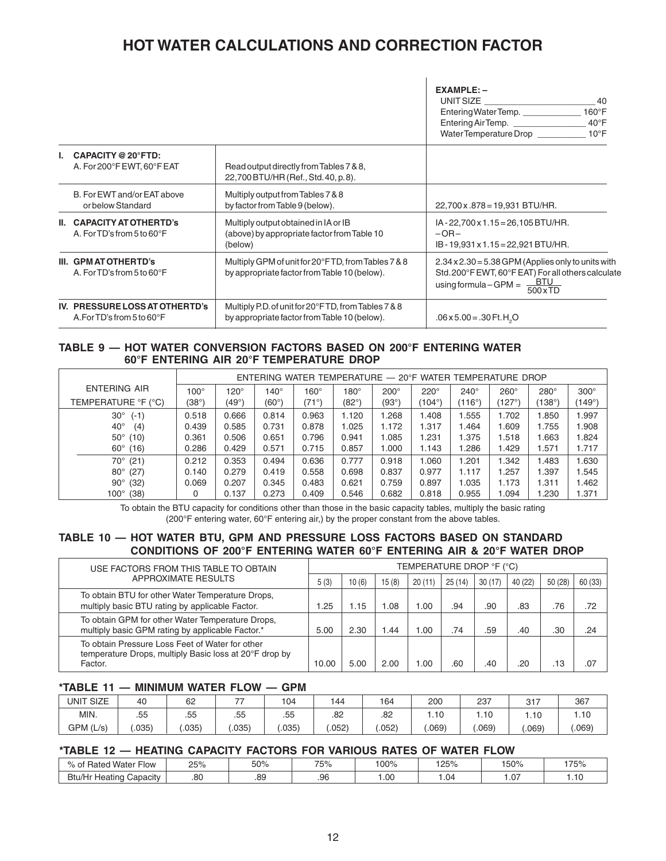# **HOT WATER CALCULATIONS AND CORRECTION FACTOR**

|                                                                        |                                                                                                     | $EXAMPLE: -$<br>UNIT SIZE<br>40<br>$160^\circ F$<br>Entering Water Temp.<br>Entering Air Temp.<br>$40^{\circ}$ F<br>Water Temperature Drop __________<br>$10^{\circ}$ F |
|------------------------------------------------------------------------|-----------------------------------------------------------------------------------------------------|-------------------------------------------------------------------------------------------------------------------------------------------------------------------------|
| <b>CAPACITY @ 20°FTD:</b><br>A. For 200°F EWT, 60°F EAT                | Read output directly from Tables 7 & 8,<br>22,700 BTU/HR (Ref., Std. 40, p. 8).                     |                                                                                                                                                                         |
| B. For EWT and/or EAT above<br>or below Standard                       | Multiply output from Tables 7 & 8<br>by factor from Table 9 (below).                                | 22,700 x .878 = 19,931 BTU/HR.                                                                                                                                          |
| II. CAPACITY AT OTHERTD's<br>A. For TD's from 5 to $60^{\circ}$ F      | Multiply output obtained in IA or IB<br>(above) by appropriate factor from Table 10<br>(below)      | $IA - 22,700 \times 1.15 = 26,105 BTU/HR.$<br>$-OR-$<br>$IB - 19,931 \times 1.15 = 22,921 \text{ BTU/HR}.$                                                              |
| III. GPM AT OTHERTD's<br>A. For TD's from 5 to $60^{\circ}$ F          | Multiply GPM of unit for 20°FTD, from Tables 7 & 8<br>by appropriate factor from Table 10 (below).  | $2.34 \times 2.30 = 5.38$ GPM (Applies only to units with<br>Std. 200°F EWT, 60°F EAT) For all others calculate<br>using formula - GPM = $\frac{BTU}{500\times TD}$     |
| IV. PRESSURE LOSS AT OTHERTD's<br>A. For TD's from 5 to $60^{\circ}$ F | Multiply P.D. of unit for 20°FTD, from Tables 7 & 8<br>by appropriate factor from Table 10 (below). | $.06 \times 5.00 = .30$ Ft. H <sub>2</sub> O                                                                                                                            |

#### **TABLE 9 — HOT WATER CONVERSION FACTORS BASED ON 200°F ENTERING WATER 60°F ENTERING AIR 20°F TEMPERATURE DROP**

|                        |             | ENTERING WATER TEMPERATURE $-$ 20°F WATER TEMPERATURE DROP |                |             |             |              |             |             |                   |                   |             |  |
|------------------------|-------------|------------------------------------------------------------|----------------|-------------|-------------|--------------|-------------|-------------|-------------------|-------------------|-------------|--|
| ENTERING AIR           | $100^\circ$ | $120^\circ$                                                | $140^\circ$    | $160^\circ$ | $180^\circ$ | $200^\circ$  | $220^\circ$ | $240^\circ$ | $260^\circ$       | $280^\circ$       | $300^\circ$ |  |
| TEMPERATURE °F (°C)    | (38°)       | $(49^{\circ})$                                             | $(60^{\circ})$ | (71°)       | (82°)       | (93°)        | (104°)      | (116°)      | $^{\prime}$ 127°) | $^{\prime}$ 138°) | (149°)      |  |
| $30^{\circ}$<br>$(-1)$ | 0.518       | 0.666                                                      | 0.814          | 0.963       | 1.120       | <b>1.268</b> | .408        | 1.555       | 1.702             | .850              | 1.997       |  |
| $40^{\circ}$<br>(4)    | 0.439       | 0.585                                                      | 0.731          | 0.878       | 1.025       | 1.172        | 1.317       | <b>.464</b> | .609              | 1.755             | 1.908       |  |
| $50^{\circ}$ (10)      | 0.361       | 0.506                                                      | 0.651          | 0.796       | 0.941       | 1.085        | 1.231       | 1.375       | 1.518             | 1.663             | 1.824       |  |
| $60^{\circ}$ (16)      | 0.286       | 0.429                                                      | 0.571          | 0.715       | 0.857       | 1.000        | 1.143       | 1.286       | <b>1.429</b>      | 1.571             | 1.717       |  |
| (21)<br>70°            | 0.212       | 0.353                                                      | 0.494          | 0.636       | 0.777       | 0.918        | 1.060       | 1.201       | .342              | .483              | 1.630       |  |
| $80^\circ$<br>(27)     | 0.140       | 0.279                                                      | 0.419          | 0.558       | 0.698       | 0.837        | 0.977       | 1.117       | 1.257             | 1.397             | 1.545       |  |
| $90^{\circ}$<br>(32)   | 0.069       | 0.207                                                      | 0.345          | 0.483       | 0.621       | 0.759        | 0.897       | 1.035       | 1.173             | 1.311             | 1.462       |  |
| $100^\circ$<br>(38)    | 0           | 0.137                                                      | 0.273          | 0.409       | 0.546       | 0.682        | 0.818       | 0.955       | 1.094             | 1.230             | 1.371       |  |

To obtain the BTU capacity for conditions other than those in the basic capacity tables, multiply the basic rating (200°F entering water, 60°F entering air,) by the proper constant from the above tables.

# **TABLE 10 — HOT WATER BTU, GPM AND PRESSURE LOSS FACTORS BASED ON STANDARD CONDITIONS OF 200°F ENTERING WATER 60°F ENTERING AIR & 20°F WATER DROP**

| USE FACTORS FROM THIS TABLE TO OBTAIN                                                                                | TEMPERATURE DROP °F (°C) |       |       |        |        |        |         |         |         |  |
|----------------------------------------------------------------------------------------------------------------------|--------------------------|-------|-------|--------|--------|--------|---------|---------|---------|--|
| <b>APPROXIMATE RESULTS</b>                                                                                           | 5(3)                     | 10(6) | 15(8) | 20(11) | 25(14) | 30(17) | 40 (22) | 50 (28) | 60 (33) |  |
| To obtain BTU for other Water Temperature Drops,<br>multiply basic BTU rating by applicable Factor.                  | .25                      | 1.15  | .08   | 00. I  | .94    | .90    | .83     | .76     | .72     |  |
| To obtain GPM for other Water Temperature Drops,<br>multiply basic GPM rating by applicable Factor.*                 | 5.00                     | 2.30  | .44   | 00. I  | .74    | .59    | .40     | .30     | .24     |  |
| To obtain Pressure Loss Feet of Water for other<br>temperature Drops, multiply Basic loss at 20°F drop by<br>Factor. | 10.00                    | 5.00  | 2.00  | 00. ا  | .60    | .40    | .20     | .13     | .07     |  |

#### **\*TABLE 11 — MINIMUM WATER FLOW — GPM**

| UNIT SIZE | 40    | 62    | $\overline{\phantom{a}}$ | 104   | 144   | 164  | 200   | 237   | $\sim$ $-$<br>، ا ت | 367   |
|-----------|-------|-------|--------------------------|-------|-------|------|-------|-------|---------------------|-------|
| MIN.      | .55   | .55   | .55                      | .55   | .82   | .82  | .10   | l.10  | .10                 | I.IU  |
| GPM (L/s) | .035' | .035) | .035                     | .035' | .052) | .052 | .069' | .069' | 069                 | .069' |

### **\*TABLE 12 — HEATING CAPACITY FACTORS FOR VARIOUS RATES OF WATER FLOW**

| $\sim$ $\sim$<br>'Water<br>n.<br>-low<br><b>Hated</b> | つにの<br>ZJ 70 | 50% | 75% | $00\%$ | 050/<br>ZO 70 | 150% | 175% |
|-------------------------------------------------------|--------------|-----|-----|--------|---------------|------|------|
| Btu/Hr<br>∽<br>. .<br>… Heatine<br>Capacity           | .80          | .89 | .96 | .00    | . .04         | . 07 | .    |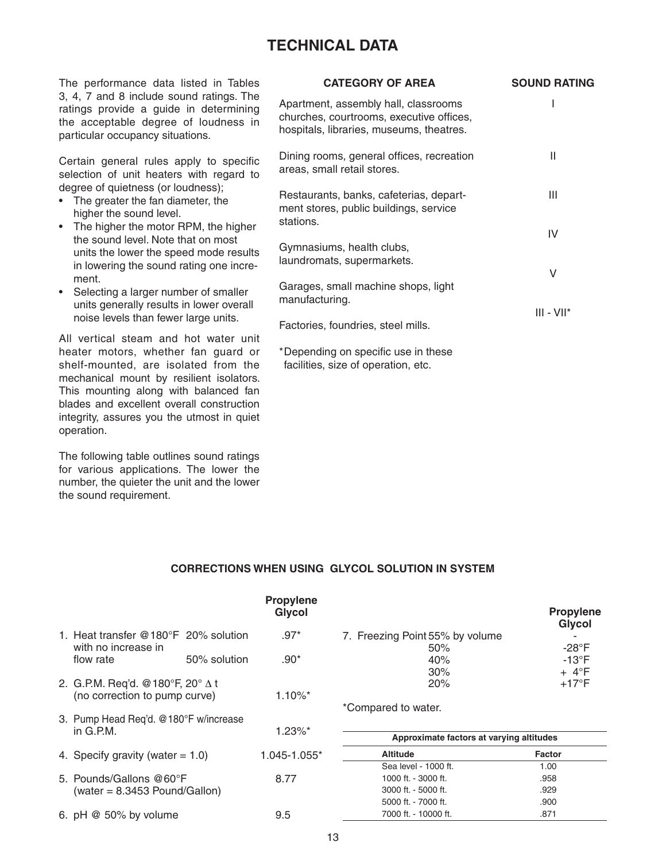# **TECHNICAL DATA**

The performance data listed in Tables 3, 4, 7 and 8 include sound ratings. The ratings provide a guide in determining the acceptable degree of loudness in particular occupancy situations.

Certain general rules apply to specific selection of unit heaters with regard to degree of quietness (or loudness);

- The greater the fan diameter, the higher the sound level.
- The higher the motor RPM, the higher the sound level. Note that on most units the lower the speed mode results in lowering the sound rating one increment.
- Selecting a larger number of smaller units generally results in lower overall noise levels than fewer large units.

All vertical steam and hot water unit heater motors, whether fan guard or shelf-mounted, are isolated from the mechanical mount by resilient isolators. This mounting along with balanced fan blades and excellent overall construction integrity, assures you the utmost in quiet operation.

The following table outlines sound ratings for various applications. The lower the number, the quieter the unit and the lower the sound requirement.

| <b>CATEGORY OF AREA</b>                                                                                                      | <b>SOUND RATING</b> |
|------------------------------------------------------------------------------------------------------------------------------|---------------------|
| Apartment, assembly hall, classrooms<br>churches, courtrooms, executive offices,<br>hospitals, libraries, museums, theatres. |                     |
| Dining rooms, general offices, recreation<br>areas, small retail stores.                                                     | Ш                   |
| Restaurants, banks, cafeterias, depart-<br>ment stores, public buildings, service<br>stations.                               | Ш                   |
| Gymnasiums, health clubs,                                                                                                    | IV                  |
| laundromats, supermarkets.                                                                                                   | V                   |
| Garages, small machine shops, light<br>manufacturing.                                                                        |                     |
| Factories, foundries, steel mills.                                                                                           | $III - VII*$        |
| *Depending on specific use in these                                                                                          |                     |

facilities, size of operation, etc.

### **CORRECTIONS WHEN USING GLYCOL SOLUTION IN SYSTEM**

|                                                                          |              | <b>Propylene</b><br><b>Glycol</b> |                                          | <b>Propylene</b><br><b>Glycol</b> |
|--------------------------------------------------------------------------|--------------|-----------------------------------|------------------------------------------|-----------------------------------|
| 1. Heat transfer $@180^{\circ}F$ 20% solution<br>with no increase in     |              | $.97*$                            | 7. Freezing Point 55% by volume<br>50%   | $-28^{\circ}F$                    |
| flow rate                                                                | 50% solution | $.90*$                            | 40%<br>30%                               | $-13^{\circ}F$<br>$+4^{\circ}F$   |
| 2. G.P.M. Req'd. @180°F, 20° $\Delta$ t<br>(no correction to pump curve) |              | $1.10\%$ <sup>*</sup>             | 20%                                      | $+17^{\circ}F$                    |
| 3. Pump Head Req'd. @180°F w/increase                                    |              |                                   | *Compared to water.                      |                                   |
| in $G.P.M.$                                                              |              | $1.23\%$ *                        | Approximate factors at varying altitudes |                                   |
| 4. Specify gravity (water $= 1.0$ )                                      |              | 1.045-1.055*                      | <b>Altitude</b>                          | <b>Factor</b>                     |
|                                                                          |              |                                   | Sea level - 1000 ft.                     | 1.00                              |
| 5. Pounds/Gallons @60°F                                                  |              | 8.77                              | 1000 ft. - 3000 ft.                      | .958                              |
| $(water = 8.3453$ Pound/Gallon)                                          |              |                                   | 3000 ft. - 5000 ft.                      | .929                              |
|                                                                          |              |                                   | 5000 ft. - 7000 ft.                      | .900                              |
| 6. pH $@$ 50% by volume                                                  |              | 9.5                               | 7000 ft. - 10000 ft.                     | .871                              |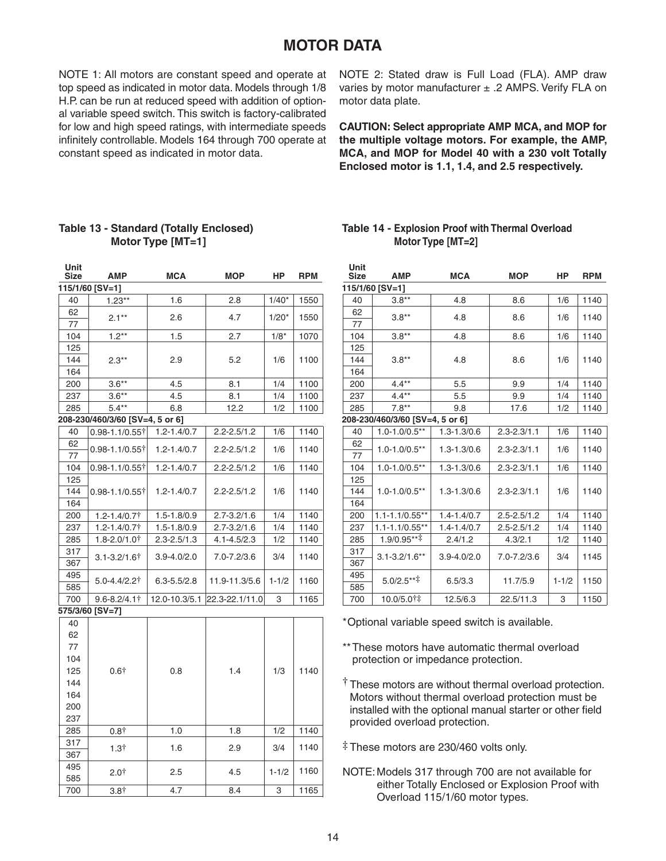# **MOTOR DATA**

NOTE 1: All motors are constant speed and operate at top speed as indicated in motor data. Models through 1/8 H.P. can be run at reduced speed with addition of optional variable speed switch. This switch is factory-calibrated for low and high speed ratings, with intermediate speeds infinitely controllable. Models 164 through 700 operate at constant speed as indicated in motor data.

NOTE 2: Stated draw is Full Load (FLA). AMP draw varies by motor manufacturer  $\pm$  .2 AMPS. Verify FLA on motor data plate.

**CAUTION: Select appropriate AMP MCA, and MOP for the multiple voltage motors. For example, the AMP, MCA, and MOP for Model 40 with a 230 volt Totally Enclosed motor is 1.1, 1.4, and 2.5 respectively.**

# **Table 13 - Standard (Totally Enclosed) Motor Type [MT=1]**

**Unit** 

| 115/1/60 [SV=1]<br>$1.23**$<br>1.6<br>2.8<br>40<br>$1/40*$<br>1550<br>62<br>4.7<br>$2.1**$<br>2.6<br>$1/20*$<br>1550<br>77<br>$1.2***$<br>$1/8*$<br>104<br>1.5<br>2.7<br>1070<br>125<br>144<br>2.9<br>5.2<br>1/6<br>$2.3**$<br>1100<br>164<br>200<br>$3.6**$<br>4.5<br>8.1<br>1/4<br>1100<br>8.1<br>1/4<br>237<br>$3.6**$<br>4.5<br>1100<br>12.2<br>285<br>$5.4**$<br>6.8<br>1/2<br>1100<br>208-230/460/3/60 [SV=4, 5 or 6]<br>40<br>$0.98 - 1.1 / 0.55$ †<br>$1.2 - 1.4 / 0.7$<br>$2.2 - 2.5/1.2$<br>1/6<br>1140<br>62<br>0.98-1.1/0.55†<br>$1.2 - 1.4 / 0.7$<br>$2.2 - 2.5 / 1.2$<br>1/6<br>1140<br>77<br>104<br>$1.2 - 1.4 / 0.7$<br>1/6<br>1140<br>$2.2 - 2.5/1.2$<br>$0.98 - 1.1 / 0.55$<br>125<br>144<br>0.98-1.1/0.55†<br>$1.2 - 1.4 / 0.7$<br>$2.2 - 2.5 / 1.2$<br>1/6<br>1140<br>164<br>$2.7 - 3.2 / 1.6$<br>1/4<br>1140<br>200<br>1.2-1.4/0.7†<br>$1.5 - 1.8 / 0.9$<br>237<br>$1.2 - 1.4 / 0.7$<br>$2.7 - 3.2 / 1.6$<br>1/4<br>1140<br>$1.5 - 1.8 / 0.9$<br>1.8-2.0/1.0†<br>$2.3 - 2.5 / 1.3$<br>$4.1 - 4.5/2.3$<br>1140<br>285<br>1/2<br>317<br>$3.1 - 3.2 / 1.6$ †<br>$3.9 - 4.0 / 2.0$<br>7.0-7.2/3.6<br>3/4<br>1140<br>367<br>495<br>$1 - 1/2$<br>11.9-11.3/5.6<br>1160<br>5.0-4.4/2.2†<br>$6.3 - 5.5 / 2.8$<br>585<br>700<br>$9.6 - 8.2 / 4.1$ †<br>22.3-22.1/11.0<br>3<br>1165<br>12.0-10.3/5.1<br>575/3/60 [SV=7]<br>40<br>62<br>77<br>104<br>125<br>0.6 <sup>†</sup><br>1.4<br>1/3<br>1140<br>0.8<br>144<br>164<br>200<br>237<br>1.0<br>1.8<br>1/2<br>285<br>$0.8^+$<br>1140<br>317<br>1140<br>3/4<br>1.3 <sup>†</sup><br>1.6<br>2.9<br>367<br>495<br>1160<br>$2.0+$<br>2.5<br>$1 - 1/2$<br>4.5<br>585<br>4.7<br>700<br>3.8†<br>8.4<br>3<br>1165 | Size | AMP | <b>MCA</b> | <b>MOP</b> | ΗP | RPM |
|--------------------------------------------------------------------------------------------------------------------------------------------------------------------------------------------------------------------------------------------------------------------------------------------------------------------------------------------------------------------------------------------------------------------------------------------------------------------------------------------------------------------------------------------------------------------------------------------------------------------------------------------------------------------------------------------------------------------------------------------------------------------------------------------------------------------------------------------------------------------------------------------------------------------------------------------------------------------------------------------------------------------------------------------------------------------------------------------------------------------------------------------------------------------------------------------------------------------------------------------------------------------------------------------------------------------------------------------------------------------------------------------------------------------------------------------------------------------------------------------------------------------------------------------------------------------------------------------------------------------------------------------------------------------|------|-----|------------|------------|----|-----|
|                                                                                                                                                                                                                                                                                                                                                                                                                                                                                                                                                                                                                                                                                                                                                                                                                                                                                                                                                                                                                                                                                                                                                                                                                                                                                                                                                                                                                                                                                                                                                                                                                                                                    |      |     |            |            |    |     |
|                                                                                                                                                                                                                                                                                                                                                                                                                                                                                                                                                                                                                                                                                                                                                                                                                                                                                                                                                                                                                                                                                                                                                                                                                                                                                                                                                                                                                                                                                                                                                                                                                                                                    |      |     |            |            |    |     |
|                                                                                                                                                                                                                                                                                                                                                                                                                                                                                                                                                                                                                                                                                                                                                                                                                                                                                                                                                                                                                                                                                                                                                                                                                                                                                                                                                                                                                                                                                                                                                                                                                                                                    |      |     |            |            |    |     |
|                                                                                                                                                                                                                                                                                                                                                                                                                                                                                                                                                                                                                                                                                                                                                                                                                                                                                                                                                                                                                                                                                                                                                                                                                                                                                                                                                                                                                                                                                                                                                                                                                                                                    |      |     |            |            |    |     |
|                                                                                                                                                                                                                                                                                                                                                                                                                                                                                                                                                                                                                                                                                                                                                                                                                                                                                                                                                                                                                                                                                                                                                                                                                                                                                                                                                                                                                                                                                                                                                                                                                                                                    |      |     |            |            |    |     |
|                                                                                                                                                                                                                                                                                                                                                                                                                                                                                                                                                                                                                                                                                                                                                                                                                                                                                                                                                                                                                                                                                                                                                                                                                                                                                                                                                                                                                                                                                                                                                                                                                                                                    |      |     |            |            |    |     |
|                                                                                                                                                                                                                                                                                                                                                                                                                                                                                                                                                                                                                                                                                                                                                                                                                                                                                                                                                                                                                                                                                                                                                                                                                                                                                                                                                                                                                                                                                                                                                                                                                                                                    |      |     |            |            |    |     |
|                                                                                                                                                                                                                                                                                                                                                                                                                                                                                                                                                                                                                                                                                                                                                                                                                                                                                                                                                                                                                                                                                                                                                                                                                                                                                                                                                                                                                                                                                                                                                                                                                                                                    |      |     |            |            |    |     |
|                                                                                                                                                                                                                                                                                                                                                                                                                                                                                                                                                                                                                                                                                                                                                                                                                                                                                                                                                                                                                                                                                                                                                                                                                                                                                                                                                                                                                                                                                                                                                                                                                                                                    |      |     |            |            |    |     |
|                                                                                                                                                                                                                                                                                                                                                                                                                                                                                                                                                                                                                                                                                                                                                                                                                                                                                                                                                                                                                                                                                                                                                                                                                                                                                                                                                                                                                                                                                                                                                                                                                                                                    |      |     |            |            |    |     |
|                                                                                                                                                                                                                                                                                                                                                                                                                                                                                                                                                                                                                                                                                                                                                                                                                                                                                                                                                                                                                                                                                                                                                                                                                                                                                                                                                                                                                                                                                                                                                                                                                                                                    |      |     |            |            |    |     |
|                                                                                                                                                                                                                                                                                                                                                                                                                                                                                                                                                                                                                                                                                                                                                                                                                                                                                                                                                                                                                                                                                                                                                                                                                                                                                                                                                                                                                                                                                                                                                                                                                                                                    |      |     |            |            |    |     |
|                                                                                                                                                                                                                                                                                                                                                                                                                                                                                                                                                                                                                                                                                                                                                                                                                                                                                                                                                                                                                                                                                                                                                                                                                                                                                                                                                                                                                                                                                                                                                                                                                                                                    |      |     |            |            |    |     |
|                                                                                                                                                                                                                                                                                                                                                                                                                                                                                                                                                                                                                                                                                                                                                                                                                                                                                                                                                                                                                                                                                                                                                                                                                                                                                                                                                                                                                                                                                                                                                                                                                                                                    |      |     |            |            |    |     |
|                                                                                                                                                                                                                                                                                                                                                                                                                                                                                                                                                                                                                                                                                                                                                                                                                                                                                                                                                                                                                                                                                                                                                                                                                                                                                                                                                                                                                                                                                                                                                                                                                                                                    |      |     |            |            |    |     |
|                                                                                                                                                                                                                                                                                                                                                                                                                                                                                                                                                                                                                                                                                                                                                                                                                                                                                                                                                                                                                                                                                                                                                                                                                                                                                                                                                                                                                                                                                                                                                                                                                                                                    |      |     |            |            |    |     |
|                                                                                                                                                                                                                                                                                                                                                                                                                                                                                                                                                                                                                                                                                                                                                                                                                                                                                                                                                                                                                                                                                                                                                                                                                                                                                                                                                                                                                                                                                                                                                                                                                                                                    |      |     |            |            |    |     |
|                                                                                                                                                                                                                                                                                                                                                                                                                                                                                                                                                                                                                                                                                                                                                                                                                                                                                                                                                                                                                                                                                                                                                                                                                                                                                                                                                                                                                                                                                                                                                                                                                                                                    |      |     |            |            |    |     |
|                                                                                                                                                                                                                                                                                                                                                                                                                                                                                                                                                                                                                                                                                                                                                                                                                                                                                                                                                                                                                                                                                                                                                                                                                                                                                                                                                                                                                                                                                                                                                                                                                                                                    |      |     |            |            |    |     |
|                                                                                                                                                                                                                                                                                                                                                                                                                                                                                                                                                                                                                                                                                                                                                                                                                                                                                                                                                                                                                                                                                                                                                                                                                                                                                                                                                                                                                                                                                                                                                                                                                                                                    |      |     |            |            |    |     |
|                                                                                                                                                                                                                                                                                                                                                                                                                                                                                                                                                                                                                                                                                                                                                                                                                                                                                                                                                                                                                                                                                                                                                                                                                                                                                                                                                                                                                                                                                                                                                                                                                                                                    |      |     |            |            |    |     |
|                                                                                                                                                                                                                                                                                                                                                                                                                                                                                                                                                                                                                                                                                                                                                                                                                                                                                                                                                                                                                                                                                                                                                                                                                                                                                                                                                                                                                                                                                                                                                                                                                                                                    |      |     |            |            |    |     |
|                                                                                                                                                                                                                                                                                                                                                                                                                                                                                                                                                                                                                                                                                                                                                                                                                                                                                                                                                                                                                                                                                                                                                                                                                                                                                                                                                                                                                                                                                                                                                                                                                                                                    |      |     |            |            |    |     |
|                                                                                                                                                                                                                                                                                                                                                                                                                                                                                                                                                                                                                                                                                                                                                                                                                                                                                                                                                                                                                                                                                                                                                                                                                                                                                                                                                                                                                                                                                                                                                                                                                                                                    |      |     |            |            |    |     |
|                                                                                                                                                                                                                                                                                                                                                                                                                                                                                                                                                                                                                                                                                                                                                                                                                                                                                                                                                                                                                                                                                                                                                                                                                                                                                                                                                                                                                                                                                                                                                                                                                                                                    |      |     |            |            |    |     |
|                                                                                                                                                                                                                                                                                                                                                                                                                                                                                                                                                                                                                                                                                                                                                                                                                                                                                                                                                                                                                                                                                                                                                                                                                                                                                                                                                                                                                                                                                                                                                                                                                                                                    |      |     |            |            |    |     |
|                                                                                                                                                                                                                                                                                                                                                                                                                                                                                                                                                                                                                                                                                                                                                                                                                                                                                                                                                                                                                                                                                                                                                                                                                                                                                                                                                                                                                                                                                                                                                                                                                                                                    |      |     |            |            |    |     |
|                                                                                                                                                                                                                                                                                                                                                                                                                                                                                                                                                                                                                                                                                                                                                                                                                                                                                                                                                                                                                                                                                                                                                                                                                                                                                                                                                                                                                                                                                                                                                                                                                                                                    |      |     |            |            |    |     |
|                                                                                                                                                                                                                                                                                                                                                                                                                                                                                                                                                                                                                                                                                                                                                                                                                                                                                                                                                                                                                                                                                                                                                                                                                                                                                                                                                                                                                                                                                                                                                                                                                                                                    |      |     |            |            |    |     |
|                                                                                                                                                                                                                                                                                                                                                                                                                                                                                                                                                                                                                                                                                                                                                                                                                                                                                                                                                                                                                                                                                                                                                                                                                                                                                                                                                                                                                                                                                                                                                                                                                                                                    |      |     |            |            |    |     |
|                                                                                                                                                                                                                                                                                                                                                                                                                                                                                                                                                                                                                                                                                                                                                                                                                                                                                                                                                                                                                                                                                                                                                                                                                                                                                                                                                                                                                                                                                                                                                                                                                                                                    |      |     |            |            |    |     |
|                                                                                                                                                                                                                                                                                                                                                                                                                                                                                                                                                                                                                                                                                                                                                                                                                                                                                                                                                                                                                                                                                                                                                                                                                                                                                                                                                                                                                                                                                                                                                                                                                                                                    |      |     |            |            |    |     |
|                                                                                                                                                                                                                                                                                                                                                                                                                                                                                                                                                                                                                                                                                                                                                                                                                                                                                                                                                                                                                                                                                                                                                                                                                                                                                                                                                                                                                                                                                                                                                                                                                                                                    |      |     |            |            |    |     |
|                                                                                                                                                                                                                                                                                                                                                                                                                                                                                                                                                                                                                                                                                                                                                                                                                                                                                                                                                                                                                                                                                                                                                                                                                                                                                                                                                                                                                                                                                                                                                                                                                                                                    |      |     |            |            |    |     |
|                                                                                                                                                                                                                                                                                                                                                                                                                                                                                                                                                                                                                                                                                                                                                                                                                                                                                                                                                                                                                                                                                                                                                                                                                                                                                                                                                                                                                                                                                                                                                                                                                                                                    |      |     |            |            |    |     |
|                                                                                                                                                                                                                                                                                                                                                                                                                                                                                                                                                                                                                                                                                                                                                                                                                                                                                                                                                                                                                                                                                                                                                                                                                                                                                                                                                                                                                                                                                                                                                                                                                                                                    |      |     |            |            |    |     |
|                                                                                                                                                                                                                                                                                                                                                                                                                                                                                                                                                                                                                                                                                                                                                                                                                                                                                                                                                                                                                                                                                                                                                                                                                                                                                                                                                                                                                                                                                                                                                                                                                                                                    |      |     |            |            |    |     |
|                                                                                                                                                                                                                                                                                                                                                                                                                                                                                                                                                                                                                                                                                                                                                                                                                                                                                                                                                                                                                                                                                                                                                                                                                                                                                                                                                                                                                                                                                                                                                                                                                                                                    |      |     |            |            |    |     |
|                                                                                                                                                                                                                                                                                                                                                                                                                                                                                                                                                                                                                                                                                                                                                                                                                                                                                                                                                                                                                                                                                                                                                                                                                                                                                                                                                                                                                                                                                                                                                                                                                                                                    |      |     |            |            |    |     |
|                                                                                                                                                                                                                                                                                                                                                                                                                                                                                                                                                                                                                                                                                                                                                                                                                                                                                                                                                                                                                                                                                                                                                                                                                                                                                                                                                                                                                                                                                                                                                                                                                                                                    |      |     |            |            |    |     |

### **Table 14 - Explosion Proof with Thermal Overload Motor Type [MT=2]**

| Unit<br><b>Size</b> | <b>AMP</b>                      | <b>MCA</b>        | <b>MOP</b>        | НP        | <b>RPM</b> |  |
|---------------------|---------------------------------|-------------------|-------------------|-----------|------------|--|
|                     | 115/1/60 [SV=1]                 |                   |                   |           |            |  |
| 40                  | $3.8**$                         | 4.8               | 8.6               | 1/6       | 1140       |  |
| 62                  | $3.8**$                         | 4.8               | 8.6               | 1/6       | 1140       |  |
| 77                  |                                 |                   |                   |           |            |  |
| 104                 | $3.8**$                         | 4.8               | 8.6               | 1/6       | 1140       |  |
| 125                 |                                 |                   |                   |           |            |  |
| 144                 | $3.8**$                         | 4.8               | 8.6               | 1/6       | 1140       |  |
| 164                 |                                 |                   |                   |           |            |  |
| 200                 | $4.4**$                         | 5.5               | 9.9               | 1/4       | 1140       |  |
| 237                 | $4.4**$                         | 5.5               | 9.9               | 1/4       | 1140       |  |
| 285                 | $7.8**$                         | 9.8               | 17.6              | 1/2       | 1140       |  |
|                     | 208-230/460/3/60 [SV=4, 5 or 6] |                   |                   |           |            |  |
| 40                  | $1.0 - 1.0 / 0.5$ **            | $1.3 - 1.3 / 0.6$ | $2.3 - 2.3 / 1.1$ | 1/6       | 1140       |  |
| 62                  | $1.0 - 1.0 / 0.5$ **            | $1.3 - 1.3 / 0.6$ | $2.3 - 2.3 / 1.1$ | 1/6       | 1140       |  |
| 77                  |                                 |                   |                   |           |            |  |
| 104                 | $1.0 - 1.0 / 0.5$ **            | $1.3 - 1.3 / 0.6$ | $2.3 - 2.3 / 1.1$ | 1/6       | 1140       |  |
| 125                 |                                 |                   |                   |           |            |  |
| 144                 | $1.0 - 1.0 / 0.5$ **            | $1.3 - 1.3 / 0.6$ | $2.3 - 2.3 / 1.1$ | 1/6       | 1140       |  |
| 164                 |                                 |                   |                   |           |            |  |
| 200                 | $1.1 - 1.1/0.55**$              | $1.4 - 1.4/0.7$   | $2.5 - 2.5 / 1.2$ | 1/4       | 1140       |  |
| 237                 | $1.1 - 1.1/0.55**$              | $1.4 - 1.4/0.7$   | $2.5 - 2.5 / 1.2$ | 1/4       | 1140       |  |
| 285                 | $1.9/0.95***$                   | 2.4/1.2           | 4.3/2.1           | 1/2       | 1140       |  |
| 317                 | $3.1 - 3.2 / 1.6$ **            | $3.9 - 4.0 / 2.0$ | 7.0-7.2/3.6       | 3/4       | 1145       |  |
| 367                 |                                 |                   |                   |           |            |  |
| 495                 | $5.0/2.5***$                    | 6.5/3.3           | 11.7/5.9          | $1 - 1/2$ | 1150       |  |
| 585                 |                                 |                   |                   |           |            |  |
| 700                 | 10.0/5.01‡                      | 12.5/6.3          | 22.5/11.3         | 3         | 1150       |  |

\* Optional variable speed switch is available.

- \*\* These motors have automatic thermal overload protection or impedance protection.
- **†** These motors are without thermal overload protection. Motors without thermal overload protection must be installed with the optional manual starter or other field provided overload protection.
- **‡** These motors are 230/460 volts only.
- NOTE: Models 317 through 700 are not available for either Totally Enclosed or Explosion Proof with Overload 115/1/60 motor types.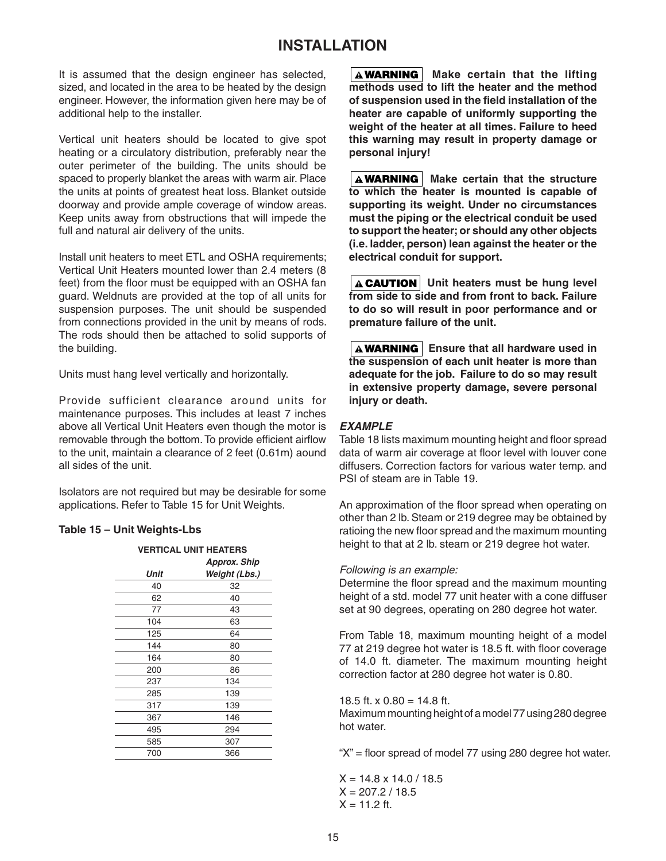# **INSTALLATION**

It is assumed that the design engineer has selected, sized, and located in the area to be heated by the design engineer. However, the information given here may be of additional help to the installer.

Vertical unit heaters should be located to give spot heating or a circulatory distribution, preferably near the outer perimeter of the building. The units should be spaced to properly blanket the areas with warm air. Place the units at points of greatest heat loss. Blanket outside doorway and provide ample coverage of window areas. Keep units away from obstructions that will impede the full and natural air delivery of the units.

Install unit heaters to meet ETL and OSHA requirements; Vertical Unit Heaters mounted lower than 2.4 meters (8 feet) from the floor must be equipped with an OSHA fan guard. Weldnuts are provided at the top of all units for suspension purposes. The unit should be suspended from connections provided in the unit by means of rods. The rods should then be attached to solid supports of the building.

Units must hang level vertically and horizontally.

Provide sufficient clearance around units for maintenance purposes. This includes at least 7 inches above all Vertical Unit Heaters even though the motor is removable through the bottom. To provide efficient airflow to the unit, maintain a clearance of 2 feet (0.61m) aound all sides of the unit.

Isolators are not required but may be desirable for some applications. Refer to Table 15 for Unit Weights.

### **Table 15 – Unit Weights-Lbs**

|      | <b>VERTICAL UNIT HEATERS</b> |
|------|------------------------------|
|      | <b>Approx. Ship</b>          |
| Unit | Weight (Lbs.)                |
| 40   | 32                           |
| 62   | 40                           |
| 77   | 43                           |
| 104  | 63                           |
| 125  | 64                           |
| 144  | 80                           |
| 164  | 80                           |
| 200  | 86                           |
| 237  | 134                          |
| 285  | 139                          |
| 317  | 139                          |
| 367  | 146                          |
| 495  | 294                          |
| 585  | 307                          |
| 700  | 366                          |
|      |                              |

**A WARNING Make certain that the lifting methods used to lift the heater and the method**  of suspension used in the field installation of the **heater are capable of uniformly supporting the weight of the heater at all times. Failure to heed this warning may result in property damage or personal injury!**

**A WARNING** Make certain that the structure **to which the heater is mounted is capable of supporting its weight. Under no circumstances must the piping or the electrical conduit be used to support the heater; or should any other objects (i.e. ladder, person) lean against the heater or the electrical conduit for support.**

**A CAUTION** Unit heaters must be hung level **from side to side and from front to back. Failure to do so will result in poor performance and or premature failure of the unit.**

**A WARNING** | Ensure that all hardware used in **the suspension of each unit heater is more than adequate for the job. Failure to do so may result in extensive property damage, severe personal injury or death.**

### *EXAMPLE*

Table 18 lists maximum mounting height and floor spread data of warm air coverage at floor level with louver cone diffusers. Correction factors for various water temp. and PSI of steam are in Table 19.

An approximation of the floor spread when operating on other than 2 lb. Steam or 219 degree may be obtained by ratioing the new floor spread and the maximum mounting height to that at 2 lb. steam or 219 degree hot water.

#### *Following is an example:*

Determine the floor spread and the maximum mounting height of a std. model 77 unit heater with a cone diffuser set at 90 degrees, operating on 280 degree hot water.

From Table 18, maximum mounting height of a model 77 at 219 degree hot water is 18.5 ft. with floor coverage of 14.0 ft. diameter. The maximum mounting height correction factor at 280 degree hot water is 0.80.

#### 18.5 ft.  $x = 0.80 = 14.8$  ft.

Maximum mounting height of a model 77 using 280 degree hot water.

" $X$ " = floor spread of model 77 using 280 degree hot water.

 $X = 14.8 \times 14.0 / 18.5$  $X = 207.2 / 18.5$  $X = 11.2$  ft.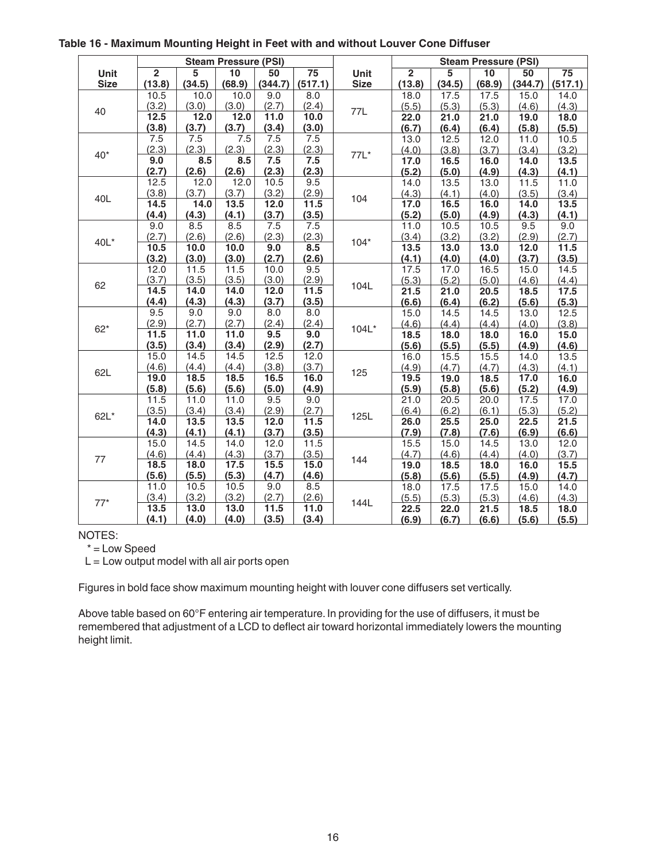|             |                |               | <b>Steam Pressure (PSI)</b> |              |                 |             |                |               | <b>Steam Pressure (PSI)</b> |               |                 |
|-------------|----------------|---------------|-----------------------------|--------------|-----------------|-------------|----------------|---------------|-----------------------------|---------------|-----------------|
| Unit        | $\overline{2}$ | 5             | $\overline{10}$             | 50           | $\overline{75}$ | Unit        | $\overline{2}$ | 5             | 10                          | 50            | $\overline{75}$ |
| <b>Size</b> | (13.8)         | (34.5)        | (68.9)                      | (344.7)      | (517.1)         | <b>Size</b> | (13.8)         | (34.5)        | (68.9)                      | (344.7)       | (517.1)         |
|             | 10.5           | 10.0          | 10.0                        | 9.0          | 8.0             |             | 18.0           | 17.5          | 17.5                        | 15.0          | 14.0            |
| 40          | (3.2)          | (3.0)         | (3.0)                       | (2.7)        | (2.4)           | 77L         | (5.5)          | (5.3)         | (5.3)                       | (4.6)         | (4.3)           |
|             | 12.5           | 12.0          | 12.0                        | 11.0         | 10.0            |             | 22.0           | 21.0          | 21.0                        | 19.0          | 18.0            |
|             | (3.8)          | (3.7)         | (3.7)                       | (3.4)        | (3.0)           |             | (6.7)          | (6.4)         | (6.4)                       | (5.8)         | (5.5)           |
|             | 7.5            | 7.5           | 7.5                         | 7.5          | 7.5             |             | 13.0           | 12.5          | 12.0                        | 11.0          | 10.5            |
| $40*$       | (2.3)          | (2.3)         | (2.3)                       | (2.3)        | (2.3)           | 77L*        | (4.0)          | (3.8)         | (3.7)                       | (3.4)         | (3.2)           |
|             | 9.0            | 8.5           | 8.5                         | 7.5          | 7.5             |             | 17.0           | 16.5          | 16.0                        | 14.0          | 13.5            |
|             | (2.7)          | (2.6)         | (2.6)                       | (2.3)        | (2.3)           |             | (5.2)          | (5.0)         | (4.9)                       | (4.3)         | (4.1)           |
|             | 12.5           | 12.0          | 12.0                        | 10.5         | 9.5             |             | 14.0           | 13.5          | 13.0                        | 11.5          | 11.0            |
| 40L         | (3.8)          | (3.7)         | (3.7)                       | (3.2)        | (2.9)           | 104         | (4.3)          | (4.1)         | (4.0)                       | (3.5)         | (3.4)           |
|             | 14.5           | 14.0          | 13.5                        | 12.0         | 11.5            |             | 17.0           | 16.5          | 16.0                        | 14.0          | 13.5            |
|             | (4.4)          | (4.3)         | (4.1)                       | (3.7)        | (3.5)           |             | (5.2)          | (5.0)         | (4.9)                       | (4.3)         | (4.1)           |
|             | 9.0            | 8.5           | 8.5                         | 7.5          | 7.5             |             | 11.0           | 10.5          | 10.5                        | 9.5           | 9.0             |
| 40L*        | (2.7)          | (2.6)         | (2.6)                       | (2.3)        | (2.3)           | $104*$      | (3.4)          | (3.2)         | (3.2)                       | (2.9)         | (2.7)           |
|             | 10.5           | 10.0          | 10.0                        | 9.0          | 8.5             |             | 13.5           | 13.0          | 13.0                        | 12.0          | 11.5            |
|             | (3.2)          | (3.0)         | (3.0)                       | (2.7)        | (2.6)           |             | (4.1)          | (4.0)         | (4.0)                       | (3.7)         | (3.5)           |
|             | 12.0           | 11.5          | 11.5                        | 10.0         | 9.5             |             | 17.5           | 17.0          | 16.5                        | 15.0          | 14.5            |
| 62          | (3.7)          | (3.5)         | (3.5)                       | (3.0)        | (2.9)           | 104L        | (5.3)          | (5.2)         | (5.0)                       | (4.6)         | (4.4)           |
|             | 14.5           | 14.0          | 14.0                        | 12.0         | 11.5            |             | 21.5           | 21.0          | 20.5                        | 18.5          | 17.5            |
|             | (4.4)          | (4.3)         | (4.3)                       | (3.7)        | (3.5)           |             | (6.6)          | (6.4)         | (6.2)                       | (5.6)         | (5.3)           |
|             | 9.5            | 9.0           | 9.0                         | 8.0          | 8.0             |             | 15.0           | 14.5          | 14.5                        | 13.0          | 12.5            |
| $62*$       | (2.9)          | (2.7)         | (2.7)                       | (2.4)        | (2.4)           | 104L*       | (4.6)          | (4.4)         | (4.4)                       | (4.0)         | (3.8)           |
|             | 11.5           | 11.0          | 11.0                        | 9.5          | 9.0             |             | 18.5           | 18.0          | 18.0                        | 16.0          | 15.0            |
|             | (3.5)          | (3.4)         | (3.4)                       | (2.9)        | (2.7)           |             | (5.6)          | (5.5)         | (5.5)                       | (4.9)         | (4.6)           |
|             | 15.0           | 14.5          | 14.5                        | 12.5         | 12.0            |             | 16.0           | 15.5          | 15.5                        | 14.0          | 13.5            |
| 62L         | (4.6)          | (4.4)         | (4.4)                       | (3.8)        | (3.7)           | 125         | (4.9)          | (4.7)         | (4.7)                       | (4.3)         | (4.1)           |
|             | 19.0           | 18.5          | 18.5                        | 16.5         | 16.0            |             | 19.5           | 19.0          | 18.5                        | 17.0          | 16.0            |
|             | (5.8)          | (5.6)<br>11.0 | (5.6)<br>11.0               | (5.0)<br>9.5 | (4.9)           |             | (5.9)          | (5.8)         | (5.6)                       | (5.2)         | (4.9)           |
|             | 11.5           | (3.4)         |                             | (2.9)        | 9.0<br>(2.7)    |             | 21.0           | 20.5<br>(6.2) | 20.0                        | 17.5          | 17.0<br>(5.2)   |
| $62L*$      | (3.5)<br>14.0  | 13.5          | (3.4)<br>13.5               | 12.0         | 11.5            | 125L        | (6.4)          | 25.5          | (6.1)<br>25.0               | (5.3)         | 21.5            |
|             | (4.3)          | (4.1)         | (4.1)                       | (3.7)        | (3.5)           |             | 26.0<br>(7.9)  | (7.8)         | (7.6)                       | 22.5<br>(6.9) | (6.6)           |
|             | 15.0           | 14.5          | 14.0                        | 12.0         | 11.5            |             | 15.5           | 15.0          | 14.5                        | 13.0          | 12.0            |
|             | (4.6)          | (4.4)         | (4.3)                       | (3.7)        | (3.5)           |             | (4.7)          | (4.6)         | (4.4)                       | (4.0)         | (3.7)           |
| 77          | 18.5           | 18.0          | 17.5                        | 15.5         | 15.0            | 144         | 19.0           | 18.5          | 18.0                        | 16.0          | 15.5            |
|             | (5.6)          | (5.5)         | (5.3)                       | (4.7)        | (4.6)           |             | (5.8)          | (5.6)         | (5.5)                       | (4.9)         | (4.7)           |
|             | 11.0           | 10.5          | 10.5                        | 9.0          | 8.5             |             | 18.0           | 17.5          | 17.5                        | 15.0          | 14.0            |
|             | (3.4)          | (3.2)         | (3.2)                       | (2.7)        | (2.6)           |             | (5.5)          | (5.3)         | (5.3)                       | (4.6)         | (4.3)           |
| $77*$       | 13.5           | 13.0          | 13.0                        | 11.5         | 11.0            | 144L        | 22.5           | 22.0          | 21.5                        | 18.5          | 18.0            |
|             | (4.1)          | (4.0)         | (4.0)                       | (3.5)        | (3.4)           |             | (6.9)          | (6.7)         | (6.6)                       | (5.6)         | (5.5)           |

#### **Table 16 - Maximum Mounting Height in Feet with and without Louver Cone Diffuser**

NOTES:

 $*$  = Low Speed

 $L =$  Low output model with all air ports open

Figures in bold face show maximum mounting height with louver cone diffusers set vertically.

Above table based on 60°F entering air temperature. In providing for the use of diffusers, it must be remembered that adjustment of a LCD to deflect air toward horizontal immediately lowers the mounting height limit.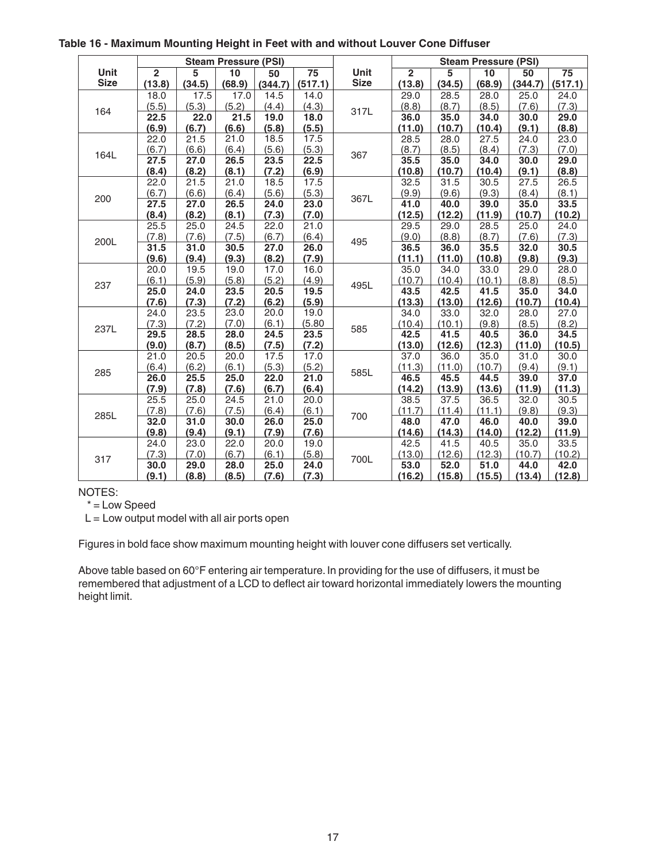|             | <b>Steam Pressure (PSI)</b> |        |        |         |                 | <b>Steam Pressure (PSI)</b> |                |        |        |         |                 |
|-------------|-----------------------------|--------|--------|---------|-----------------|-----------------------------|----------------|--------|--------|---------|-----------------|
| Unit        | $\overline{2}$              | 5      | 10     | 50      | $\overline{75}$ | Unit                        | $\overline{2}$ | 5      | 10     | 50      | $\overline{75}$ |
| <b>Size</b> | (13.8)                      | (34.5) | (68.9) | (344.7) | (517.1)         | <b>Size</b>                 | (13.8)         | (34.5) | (68.9) | (344.7) | (517.1)         |
|             | 18.0                        | 17.5   | 17.0   | 14.5    | 14.0            |                             | 29.0           | 28.5   | 28.0   | 25.0    | 24.0            |
|             | (5.5)                       | (5.3)  | (5.2)  | (4.4)   | (4.3)           |                             | (8.8)          | (8.7)  | (8.5)  | (7.6)   | (7.3)           |
| 164         | 22.5                        | 22.0   | 21.5   | 19.0    | 18.0            | 317L                        | 36.0           | 35.0   | 34.0   | 30.0    | 29.0            |
|             | (6.9)                       | (6.7)  | (6.6)  | (5.8)   | (5.5)           |                             | (11.0)         | (10.7) | (10.4) | (9.1)   | (8.8)           |
|             | 22.0                        | 21.5   | 21.0   | 18.5    | 17.5            |                             | 28.5           | 28.0   | 27.5   | 24.0    | 23.0            |
| 164L        | (6.7)                       | (6.6)  | (6.4)  | (5.6)   | (5.3)           | 367                         | (8.7)          | (8.5)  | (8.4)  | (7.3)   | (7.0)           |
|             | 27.5                        | 27.0   | 26.5   | 23.5    | 22.5            |                             | 35.5           | 35.0   | 34.0   | 30.0    | 29.0            |
|             | (8.4)                       | (8.2)  | (8.1)  | (7.2)   | (6.9)           |                             | (10.8)         | (10.7) | (10.4) | (9.1)   | (8.8)           |
|             | 22.0                        | 21.5   | 21.0   | 18.5    | 17.5            |                             | 32.5           | 31.5   | 30.5   | 27.5    | 26.5            |
| 200         | (6.7)                       | (6.6)  | (6.4)  | (5.6)   | (5.3)           | 367L                        | (9.9)          | (9.6)  | (9.3)  | (8.4)   | (8.1)           |
|             | 27.5                        | 27.0   | 26.5   | 24.0    | 23.0            |                             | 41.0           | 40.0   | 39.0   | 35.0    | 33.5            |
|             | (8.4)                       | (8.2)  | (8.1)  | (7.3)   | (7.0)           |                             | (12.5)         | (12.2) | (11.9) | (10.7)  | (10.2)          |
|             | 25.5                        | 25.0   | 24.5   | 22.0    | 21.0            | 495                         | 29.5           | 29.0   | 28.5   | 25.0    | 24.0            |
| 200L        | (7.8)                       | (7.6)  | (7.5)  | (6.7)   | (6.4)           |                             | (9.0)          | (8.8)  | (8.7)  | (7.6)   | (7.3)           |
|             | 31.5                        | 31.0   | 30.5   | 27.0    | 26.0            |                             | 36.5           | 36.0   | 35.5   | 32.0    | 30.5            |
|             | (9.6)                       | (9.4)  | (9.3)  | (8.2)   | (7.9)           |                             | (11.1)         | (11.0) | (10.8) | (9.8)   | (9.3)           |
|             | 20.0                        | 19.5   | 19.0   | 17.0    | 16.0            | 495L                        | 35.0           | 34.0   | 33.0   | 29.0    | 28.0            |
| 237         | (6.1)                       | (5.9)  | (5.8)  | (5.2)   | (4.9)           |                             | (10.7)         | (10.4) | (10.1) | (8.8)   | (8.5)           |
|             | 25.0                        | 24.0   | 23.5   | 20.5    | 19.5            |                             | 43.5           | 42.5   | 41.5   | 35.0    | 34.0            |
|             | (7.6)                       | (7.3)  | (7.2)  | (6.2)   | (5.9)           |                             | (13.3)         | (13.0) | (12.6) | (10.7)  | (10.4)          |
|             | 24.0                        | 23.5   | 23.0   | 20.0    | 19.0            | 585                         | 34.0           | 33.0   | 32.0   | 28.0    | 27.0            |
| 237L        | (7.3)                       | (7.2)  | (7.0)  | (6.1)   | (5.80)          |                             | (10.4)         | (10.1) | (9.8)  | (8.5)   | (8.2)           |
|             | 29.5                        | 28.5   | 28.0   | 24.5    | 23.5            |                             | 42.5           | 41.5   | 40.5   | 36.0    | 34.5            |
|             | (9.0)                       | (8.7)  | (8.5)  | (7.5)   | (7.2)           |                             | (13.0)         | (12.6) | (12.3) | (11.0)  | (10.5)          |
|             | 21.0                        | 20.5   | 20.0   | 17.5    | 17.0            |                             | 37.0           | 36.0   | 35.0   | 31.0    | 30.0            |
| 285         | (6.4)                       | (6.2)  | (6.1)  | (5.3)   | (5.2)           | 585L                        | (11.3)         | (11.0) | (10.7) | (9.4)   | (9.1)           |
|             | 26.0                        | 25.5   | 25.0   | 22.0    | 21.0            |                             | 46.5           | 45.5   | 44.5   | 39.0    | 37.0            |
|             | (7.9)                       | (7.8)  | (7.6)  | (6.7)   | (6.4)           |                             | (14.2)         | (13.9) | (13.6) | (11.9)  | (11.3)          |
|             | 25.5                        | 25.0   | 24.5   | 21.0    | 20.0            |                             | 38.5           | 37.5   | 36.5   | 32.0    | 30.5            |
| 285L        | (7.8)                       | (7.6)  | (7.5)  | (6.4)   | (6.1)           | 700                         | (11.7)         | (11.4) | (11.1) | (9.8)   | (9.3)           |
|             | 32.0                        | 31.0   | 30.0   | 26.0    | 25.0            |                             | 48.0           | 47.0   | 46.0   | 40.0    | 39.0            |
|             | (9.8)                       | (9.4)  | (9.1)  | (7.9)   | (7.6)           |                             | (14.6)         | (14.3) | (14.0) | (12.2)  | (11.9)          |
|             | 24.0                        | 23.0   | 22.0   | 20.0    | 19.0            |                             | 42.5           | 41.5   | 40.5   | 35.0    | 33.5            |
| 317         | (7.3)                       | (7.0)  | (6.7)  | (6.1)   | (5.8)           | 700L                        | (13.0)         | (12.6) | (12.3) | (10.7)  | (10.2)          |
|             | 30.0                        | 29.0   | 28.0   | 25.0    | 24.0            |                             | 53.0           | 52.0   | 51.0   | 44.0    | 42.0            |
|             | (9.1)                       | (8.8)  | (8.5)  | (7.6)   | (7.3)           |                             | (16.2)         | (15.8) | (15.5) | (13.4)  | (12.8)          |

#### **Table 16 - Maximum Mounting Height in Feet with and without Louver Cone Diffuser**

NOTES:

 $* =$  Low Speed

 $L =$  Low output model with all air ports open

Figures in bold face show maximum mounting height with louver cone diffusers set vertically.

Above table based on 60°F entering air temperature. In providing for the use of diffusers, it must be remembered that adjustment of a LCD to deflect air toward horizontal immediately lowers the mounting height limit.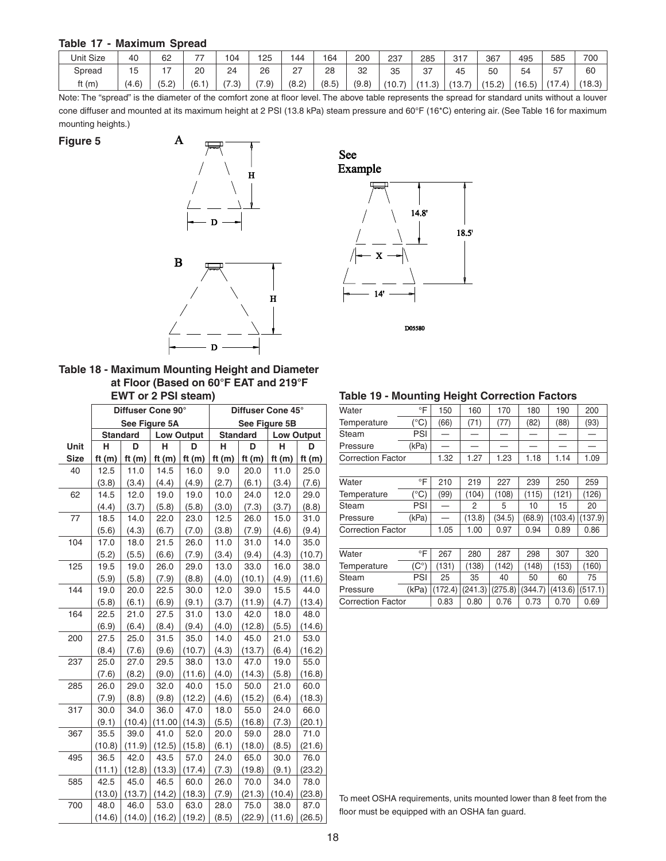#### **Table 17 - Maximum Spread**

| <b>Unit Size</b> | 40    | 62    | $\overline{\phantom{a}}$ | 104   | 25   | 144   | 164   | 200   | 237    | 285  | 317                  | 367    | 495    | 585              | 700    |
|------------------|-------|-------|--------------------------|-------|------|-------|-------|-------|--------|------|----------------------|--------|--------|------------------|--------|
| Spread           | '5    | . –   | 20                       | 24    | 26   | 27    | 28    | 32    | 35     | 37   | 45                   | 50     | 54     | 57               | 60     |
| ft $(m)$         | (4.6) | (5.2) | (6.1)                    | (7.3) | 7.9' | (8.2) | (8.5) | (9.8) | (10.7) | 1.3) | <u>— т</u><br>(13.7) | (15.2) | (16.5) | $(1 -$<br>(17.4) | (18.3) |

Note: The "spread" is the diameter of the comfort zone at floor level. The above table represents the spread for standard units without a louver cone diffuser and mounted at its maximum height at 2 PSI (13.8 kPa) steam pressure and 60°F (16\*C) entering air. (See Table 16 for maximum mounting heights.)

**Figure 5**



**Table 18 - Maximum Mounting Height and Diameter at Floor (Based on 60°F EAT and 219°F EWT or 2 PSI steam)**

|             |                 |          | Diffuser Cone 90° |                   | Diffuser Cone 45° |                 |                   |          |  |
|-------------|-----------------|----------|-------------------|-------------------|-------------------|-----------------|-------------------|----------|--|
|             |                 |          | See Figure 5A     |                   | See Figure 5B     |                 |                   |          |  |
|             | <b>Standard</b> |          |                   | <b>Low Output</b> |                   | <b>Standard</b> | <b>Low Output</b> |          |  |
| Unit        | D<br>н          |          | н                 |                   | н                 | D               | н                 | D        |  |
| <b>Size</b> | ft $(m)$        | ft $(m)$ | ft $(m)$          | ft $(m)$          | ft $(m)$          | ft $(m)$        | ft $(m)$          | ft $(m)$ |  |
| 40          | 12.5            | 11.0     | 14.5              | 16.0              | 9.0               | 20.0            | 11.0              | 25.0     |  |
|             | (3.8)           | (3.4)    | (4.4)             | (4.9)             | (2.7)             | (6.1)           | (3.4)             | (7.6)    |  |
| 62          | 14.5            | 12.0     | 19.0              | 19.0              | 10.0              | 24.0            | 12.0              | 29.0     |  |
|             | (4.4)           | (3.7)    | (5.8)             | (5.8)             | (3.0)             | (7.3)           | (3.7)             | (8.8)    |  |
| 77          | 18.5            | 14.0     | 22.0              | 23.0              | 12.5              | 26.0            | 15.0              | 31.0     |  |
|             | (5.6)           | (4.3)    | (6.7)             | (7.0)             | (3.8)             | (7.9)           | (4.6)             | (9.4)    |  |
| 104         | 17.0            | 18.0     | 21.5              | 26.0              | 11.0              | 31.0            | 14.0              | 35.0     |  |
|             | (5.2)           | (5.5)    | (6.6)             | (7.9)             | (3.4)             | (9.4)           | (4.3)             | (10.7)   |  |
| 125         | 19.5            | 19.0     | 26.0              | 29.0              | 13.0              | 33.0            | 16.0              | 38.0     |  |
|             | (5.9)           | (5.8)    | (7.9)             | (8.8)             | (4.0)             | (10.1)          | (4.9)             | (11.6)   |  |
| 144         | 19.0            | 20.0     | 22.5              | 30.0              | 12.0              | 39.0            | 15.5              | 44.0     |  |
|             | (5.8)           | (6.1)    | (6.9)             | (9.1)             | (3.7)             | (11.9)          | (4.7)             | (13.4)   |  |
| 164         | 22.5            | 21.0     | 27.5              | 31.0              | 13.0              | 42.0            | 18.0              | 48.0     |  |
|             | (6.9)           | (6.4)    | (8.4)             | (9.4)             | (4.0)             | (12.8)          | (5.5)             | (14.6)   |  |
| 200         | 27.5            | 25.0     | 31.5              | 35.0              | 14.0              | 45.0            | 21.0              | 53.0     |  |
|             | (8.4)           | (7.6)    | (9.6)             | (10.7)            | (4.3)             | (13.7)          | (6.4)             | (16.2)   |  |
| 237         | 25.0            | 27.0     | 29.5              | 38.0              | 13.0              | 47.0            | 19.0              | 55.0     |  |
|             | (7.6)           | (8.2)    | (9.0)             | (11.6)            | (4.0)             | (14.3)          | (5.8)             | (16.8)   |  |
| 285         | 26.0            | 29.0     | 32.0              | 40.0              | 15.0              | 50.0            | 21.0              | 60.0     |  |
|             | (7.9)           | (8.8)    | (9.8)             | (12.2)            | (4.6)             | (15.2)          | (6.4)             | (18.3)   |  |
| 317         | 30.0            | 34.0     | 36.0              | 47.0              | 18.0              | 55.0            | 24.0              | 66.0     |  |
|             | (9.1)           | (10.4)   | (11.00)           | (14.3)            | (5.5)             | (16.8)          | (7.3)             | (20.1)   |  |
| 367         | 35.5            | 39.0     | 41.0              | 52.0              | 20.0              | 59.0            | 28.0              | 71.0     |  |
|             | (10.8)          | (11.9)   | (12.5)            | (15.8)            | (6.1)             | (18.0)          | (8.5)             | (21.6)   |  |
| 495         | 36.5            | 42.0     | 43.5              | 57.0              | 24.0              | 65.0            | 30.0              | 76.0     |  |
|             | (11.1)          | (12.8)   | (13.3)            | (17.4)            | (7.3)             | (19.8)          | (9.1)             | (23.2)   |  |
| 585         | 42.5            | 45.0     | 46.5              | 60.0              | 26.0              | 70.0            | 34.0              | 78.0     |  |
|             | (13.0)          | (13.7)   | (14.2)            | (18.3)            | (7.9)             | (21.3)          | (10.4)            | (23.8)   |  |
| 700         | 48.0            | 46.0     | 53.0              | 63.0              | 28.0              | 75.0            | 38.0              | 87.0     |  |
|             | (14.6)          | (14.0)   | (16.2)            | (19.2)            | (8.5)             | (22.9)          | (11.6)            | (26.5)   |  |



| Water                    | °F    | 150  | 160    | 170    | 180    | 190     | 200     |
|--------------------------|-------|------|--------|--------|--------|---------|---------|
| Temperature              | (°C)  | (66) | (71)   | (77)   | (82)   | (88)    | (93)    |
| Steam                    | PSI   |      |        |        |        |         |         |
| Pressure                 | (kPa) |      |        |        |        |         |         |
| <b>Correction Factor</b> | 1.32  | 1.27 | 1.23   | 1.18   | 1.14   | 1.09    |         |
|                          |       |      |        |        |        |         |         |
| Water                    | °F    | 210  | 219    | 227    | 239    | 250     | 259     |
| Temperature              | (°C)  | (99) | (104)  | (108)  | (115)  | (121)   | (126)   |
| Steam                    | PSI   |      | 2      | 5      | 10     | 15      | 20      |
| Pressure                 | (kPa) |      | (13.8) | (34.5) | (68.9) | (103.4) | (137.9) |
| <b>Correction Factor</b> |       | 1.05 | 1.00   | 0.97   | 0.94   | 0.89    | 0.86    |
|                          |       |      |        |        |        |         |         |

| Water                    | ∘⊏           | 267                                                                  | 280   | 287   | 298   | 307   | 320   |
|--------------------------|--------------|----------------------------------------------------------------------|-------|-------|-------|-------|-------|
| Temperature              | $(C^{\circ}$ | (131)                                                                | (138) | (142) | (148) | (153) | (160) |
| Steam                    | PSI          | 25                                                                   | 35    | 40    | 50    | 60    | 75    |
| Pressure                 |              | (kPa) $ (172.4)   (241.3)   (275.8)   (344.7)   (413.6)   (517.1)  $ |       |       |       |       |       |
| <b>Correction Factor</b> | 0.83         | 0.80                                                                 | 0.76  | 0.73  | 0.70  | 0.69  |       |

#### To meet OSHA requirements, units mounted lower than 8 feet from the floor must be equipped with an OSHA fan guard.

# **Table 19 - Mounting Height Correction Factors**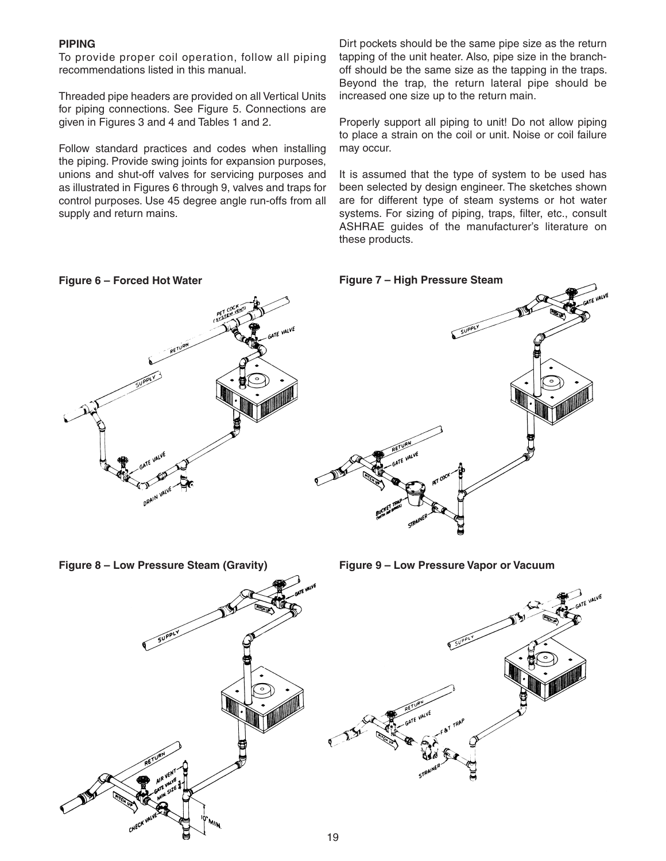#### **PIPING**

To provide proper coil operation, follow all piping recommendations listed in this manual.

Threaded pipe headers are provided on all Vertical Units for piping connections. See Figure 5. Connections are given in Figures 3 and 4 and Tables 1 and 2.

Follow standard practices and codes when installing the piping. Provide swing joints for expansion purposes, unions and shut-off valves for servicing purposes and as illustrated in Figures 6 through 9, valves and traps for control purposes. Use 45 degree angle run-offs from all supply and return mains.

Dirt pockets should be the same pipe size as the return tapping of the unit heater. Also, pipe size in the branchoff should be the same size as the tapping in the traps. Beyond the trap, the return lateral pipe should be increased one size up to the return main.

Properly support all piping to unit! Do not allow piping to place a strain on the coil or unit. Noise or coil failure may occur.

It is assumed that the type of system to be used has been selected by design engineer. The sketches shown are for different type of steam systems or hot water systems. For sizing of piping, traps, filter, etc., consult ASHRAE guides of the manufacturer's literature on these products.

# **Figure 6 – Forced Hot Water Figure 7 – High Pressure Steam**



19





**Figure 8 – Low Pressure Steam (Gravity) Figure 9 – Low Pressure Vapor or Vacuum**

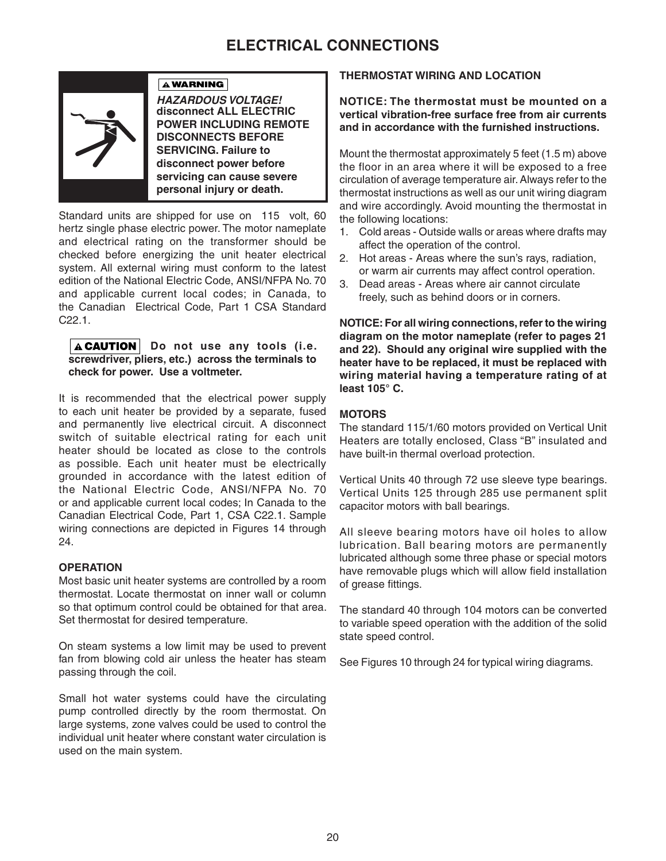# **ELECTRICAL CONNECTIONS**



*HAZARDOUS VOLTAGE!*  **disconnect ALL ELECTRIC POWER INCLUDING REMOTE DISCONNECTS BEFORE SERVICING. Failure to disconnect power before servicing can cause severe personal injury or death.**

Standard units are shipped for use on 115 volt, 60 hertz single phase electric power. The motor nameplate and electrical rating on the transformer should be checked before energizing the unit heater electrical system. All external wiring must conform to the latest edition of the National Electric Code, ANSI/NFPA No. 70 and applicable current local codes; in Canada, to the Canadian Electrical Code, Part 1 CSA Standard C22.1.

**A WARNING** 

#### **ACAUTION** Do not use any tools (i.e. **screwdriver, pliers, etc.) across the terminals to check for power. Use a voltmeter.**

It is recommended that the electrical power supply to each unit heater be provided by a separate, fused and permanently live electrical circuit. A disconnect switch of suitable electrical rating for each unit heater should be located as close to the controls as possible. Each unit heater must be electrically grounded in accordance with the latest edition of the National Electric Code, ANSI/NFPA No. 70 or and applicable current local codes; In Canada to the Canadian Electrical Code, Part 1, CSA C22.1. Sample wiring connections are depicted in Figures 14 through 24.

### **OPERATION**

Most basic unit heater systems are controlled by a room thermostat. Locate thermostat on inner wall or column so that optimum control could be obtained for that area. Set thermostat for desired temperature.

On steam systems a low limit may be used to prevent fan from blowing cold air unless the heater has steam passing through the coil.

Small hot water systems could have the circulating pump controlled directly by the room thermostat. On large systems, zone valves could be used to control the individual unit heater where constant water circulation is used on the main system.

### **THERMOSTAT WIRING AND LOCATION**

**NOTICE: The thermostat must be mounted on a vertical vibration-free surface free from air currents and in accordance with the furnished instructions.**

Mount the thermostat approximately 5 feet (1.5 m) above the floor in an area where it will be exposed to a free circulation of average temperature air. Always refer to the thermostat instructions as well as our unit wiring diagram and wire accordingly. Avoid mounting the thermostat in the following locations:

- 1. Cold areas Outside walls or areas where drafts may affect the operation of the control.
- 2. Hot areas Areas where the sun's rays, radiation, or warm air currents may affect control operation.
- 3. Dead areas Areas where air cannot circulate freely, such as behind doors or in corners.

**NOTICE: For all wiring connections, refer to the wiring diagram on the motor nameplate (refer to pages 21 and 22). Should any original wire supplied with the heater have to be replaced, it must be replaced with wiring material having a temperature rating of at least 105° C.** 

#### **MOTORS**

The standard 115/1/60 motors provided on Vertical Unit Heaters are totally enclosed, Class "B" insulated and have built-in thermal overload protection.

Vertical Units 40 through 72 use sleeve type bearings. Vertical Units 125 through 285 use permanent split capacitor motors with ball bearings.

All sleeve bearing motors have oil holes to allow lubrication. Ball bearing motors are permanently lubricated although some three phase or special motors have removable plugs which will allow field installation of grease fittings.

The standard 40 through 104 motors can be converted to variable speed operation with the addition of the solid state speed control.

See Figures 10 through 24 for typical wiring diagrams.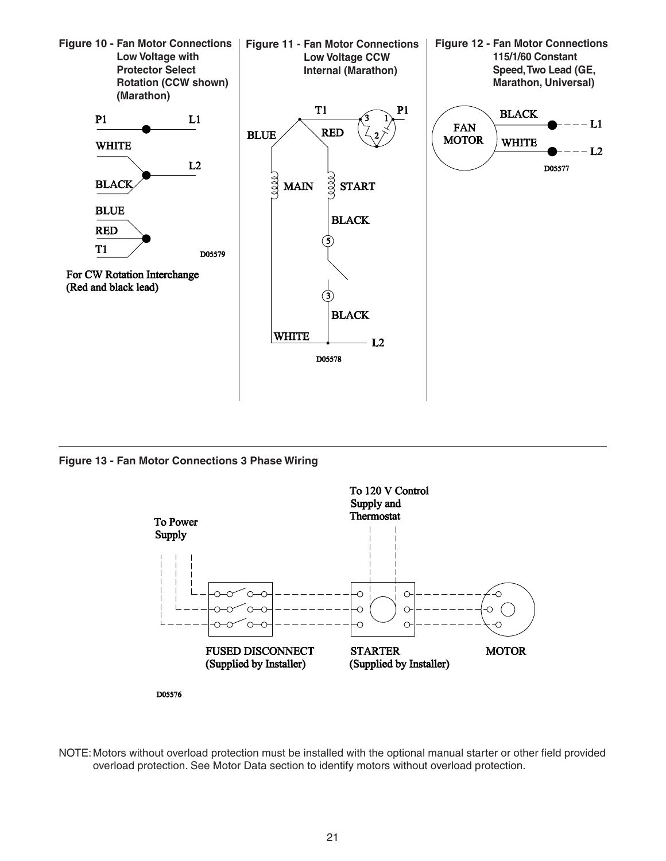

**Figure 13 - Fan Motor Connections 3 Phase Wiring**



NOTE: Motors without overload protection must be installed with the optional manual starter or other field provided overload protection. See Motor Data section to identify motors without overload protection.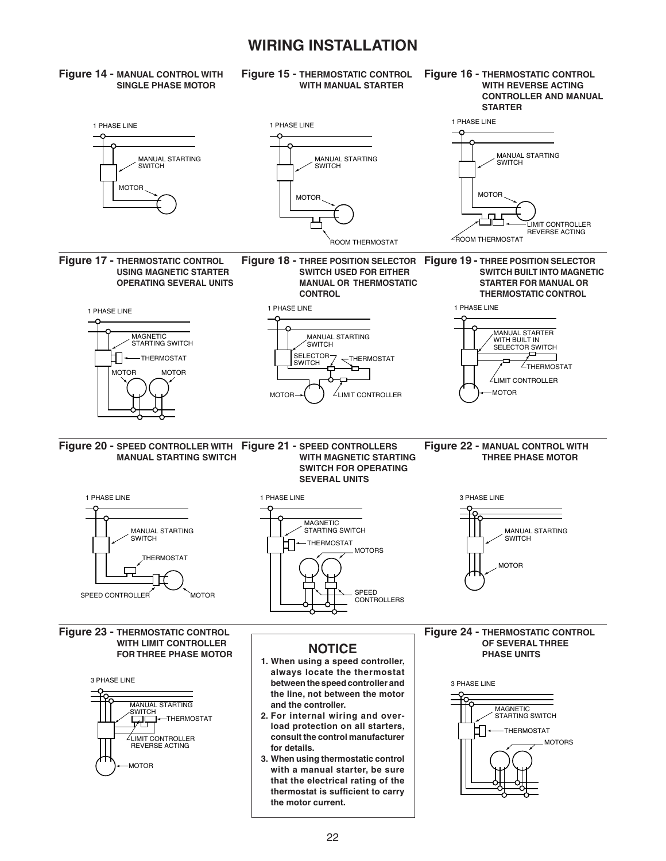# **WIRING INSTALLATION**

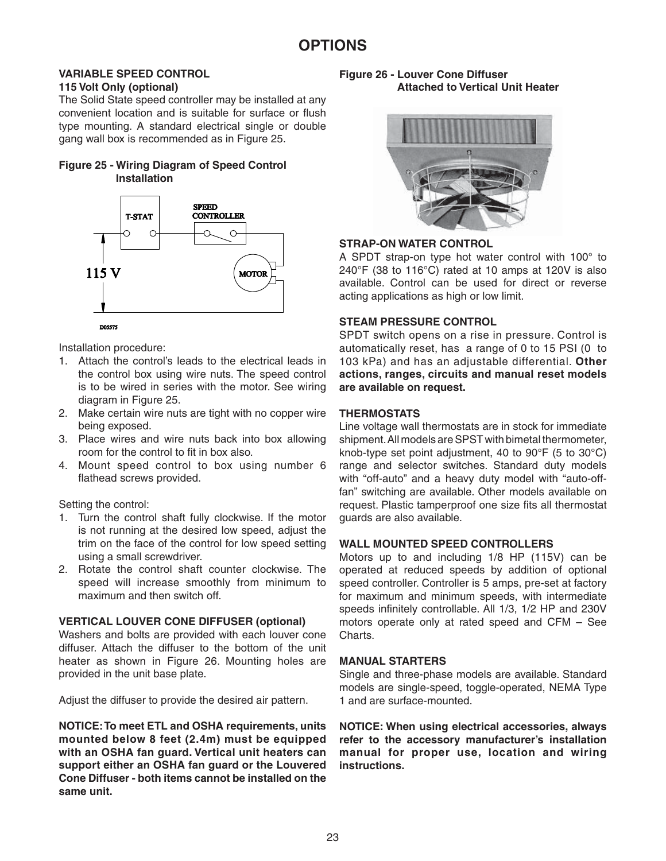#### **VARIABLE SPEED CONTROL 115 Volt Only (optional)**

The Solid State speed controller may be installed at any convenient location and is suitable for surface or flush type mounting. A standard electrical single or double gang wall box is recommended as in Figure 25.

# **Figure 25 - Wiring Diagram of Speed Control Installation**



Installation procedure:

- 1. Attach the control's leads to the electrical leads in the control box using wire nuts. The speed control is to be wired in series with the motor. See wiring diagram in Figure 25.
- 2. Make certain wire nuts are tight with no copper wire being exposed.
- 3. Place wires and wire nuts back into box allowing room for the control to fit in box also.
- 4. Mount speed control to box using number 6 flathead screws provided.

### Setting the control:

- 1. Turn the control shaft fully clockwise. If the motor is not running at the desired low speed, adjust the trim on the face of the control for low speed setting using a small screwdriver.
- 2. Rotate the control shaft counter clockwise. The speed will increase smoothly from minimum to maximum and then switch off.

### **VERTICAL LOUVER CONE DIFFUSER (optional)**

Washers and bolts are provided with each louver cone diffuser. Attach the diffuser to the bottom of the unit heater as shown in Figure 26. Mounting holes are provided in the unit base plate.

Adjust the diffuser to provide the desired air pattern.

**NOTICE: To meet ETL and OSHA requirements, units mounted below 8 feet (2.4m) must be equipped with an OSHA fan guard. Vertical unit heaters can support either an OSHA fan guard or the Louvered Cone Diffuser - both items cannot be installed on the same unit.** 

#### **Figure 26 - Louver Cone Diffuser Attached to Vertical Unit Heater**



### **STRAP-ON WATER CONTROL**

A SPDT strap-on type hot water control with 100° to 240°F (38 to 116°C) rated at 10 amps at 120V is also available. Control can be used for direct or reverse acting applications as high or low limit.

### **STEAM PRESSURE CONTROL**

SPDT switch opens on a rise in pressure. Control is automatically reset, has a range of 0 to 15 PSI (0 to 103 kPa) and has an adjustable differential. **Other actions, ranges, circuits and manual reset models are available on request.**

### **THERMOSTATS**

Line voltage wall thermostats are in stock for immediate shipment. All models are SPST with bimetal thermometer, knob-type set point adjustment, 40 to 90°F (5 to 30°C) range and selector switches. Standard duty models with "off-auto" and a heavy duty model with "auto-offfan" switching are available. Other models available on request. Plastic tamperproof one size fits all thermostat guards are also available.

### **WALL MOUNTED SPEED CONTROLLERS**

Motors up to and including 1/8 HP (115V) can be operated at reduced speeds by addition of optional speed controller. Controller is 5 amps, pre-set at factory for maximum and minimum speeds, with intermediate speeds infinitely controllable. All 1/3, 1/2 HP and 230V motors operate only at rated speed and CFM – See Charts.

### **MANUAL STARTERS**

Single and three-phase models are available. Standard models are single-speed, toggle-operated, NEMA Type 1 and are surface-mounted.

**NOTICE: When using electrical accessories, always refer to the accessory manufacturer's installation manual for proper use, location and wiring instructions.**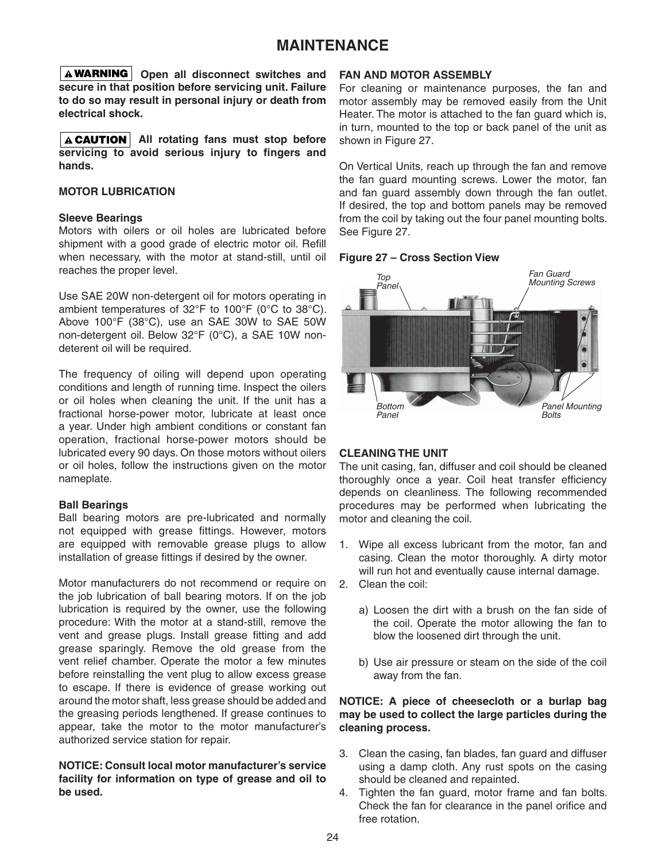# **MAINTENANCE**

**O A WARNING** Open all disconnect switches and **secure in that position before servicing unit. Failure to do so may result in personal injury or death from electrical shock.**

**A CAUTION** All rotating fans must stop before servicing to avoid serious injury to fingers and **hands.**

#### **MOTOR LUBRICATION**

#### **Sleeve Bearings**

Motors with oilers or oil holes are lubricated before shipment with a good grade of electric motor oil. Refill when necessary, with the motor at stand-still, until oil reaches the proper level.

Use SAE 20W non-detergent oil for motors operating in ambient temperatures of 32°F to 100°F (0°C to 38°C). Above 100°F (38°C), use an SAE 30W to SAE 50W non-detergent oil. Below 32°F (0°C), a SAE 10W nondeterent oil will be required.

The frequency of oiling will depend upon operating conditions and length of running time. Inspect the oilers or oil holes when cleaning the unit. If the unit has a fractional horse-power motor, lubricate at least once a year. Under high ambient conditions or constant fan operation, fractional horse-power motors should be lubricated every 90 days. On those motors without oilers or oil holes, follow the instructions given on the motor nameplate.

#### **Ball Bearings**

Ball bearing motors are pre-lubricated and normally not equipped with grease fittings. However, motors are equipped with removable grease plugs to allow installation of grease fittings if desired by the owner.

Motor manufacturers do not recommend or require on the job lubrication of ball bearing motors. If on the job lubrication is required by the owner, use the following procedure: With the motor at a stand-still, remove the vent and grease plugs. Install grease fitting and add grease sparingly. Remove the old grease from the vent relief chamber. Operate the motor a few minutes before reinstalling the vent plug to allow excess grease to escape. If there is evidence of grease working out around the motor shaft, less grease should be added and the greasing periods lengthened. If grease continues to appear, take the motor to the motor manufacturer's authorized service station for repair.

**NOTICE: Consult local motor manufacturer's service facility for information on type of grease and oil to be used.**

#### **FAN AND MOTOR ASSEMBLY**

For cleaning or maintenance purposes, the fan and motor assembly may be removed easily from the Unit Heater. The motor is attached to the fan guard which is, in turn, mounted to the top or back panel of the unit as shown in Figure 27.

On Vertical Units, reach up through the fan and remove the fan guard mounting screws. Lower the motor, fan and fan guard assembly down through the fan outlet. If desired, the top and bottom panels may be removed from the coil by taking out the four panel mounting bolts. See Figure 27.

#### **Figure 27 – Cross Section View**



#### **CLEANING THE UNIT**

The unit casing, fan, diffuser and coil should be cleaned thoroughly once a year. Coil heat transfer efficiency depends on cleanliness. The following recommended procedures may be performed when lubricating the motor and cleaning the coil.

- 1. Wipe all excess lubricant from the motor, fan and casing. Clean the motor thoroughly. A dirty motor will run hot and eventually cause internal damage.
- 2. Clean the coil:
	- a) Loosen the dirt with a brush on the fan side of the coil. Operate the motor allowing the fan to blow the loosened dirt through the unit.
	- b) Use air pressure or steam on the side of the coil away from the fan.

#### **NOTICE: A piece of cheesecloth or a burlap bag may be used to collect the large particles during the cleaning process.**

- 3. Clean the casing, fan blades, fan guard and diffuser using a damp cloth. Any rust spots on the casing should be cleaned and repainted.
- 4. Tighten the fan guard, motor frame and fan bolts. Check the fan for clearance in the panel orifice and free rotation.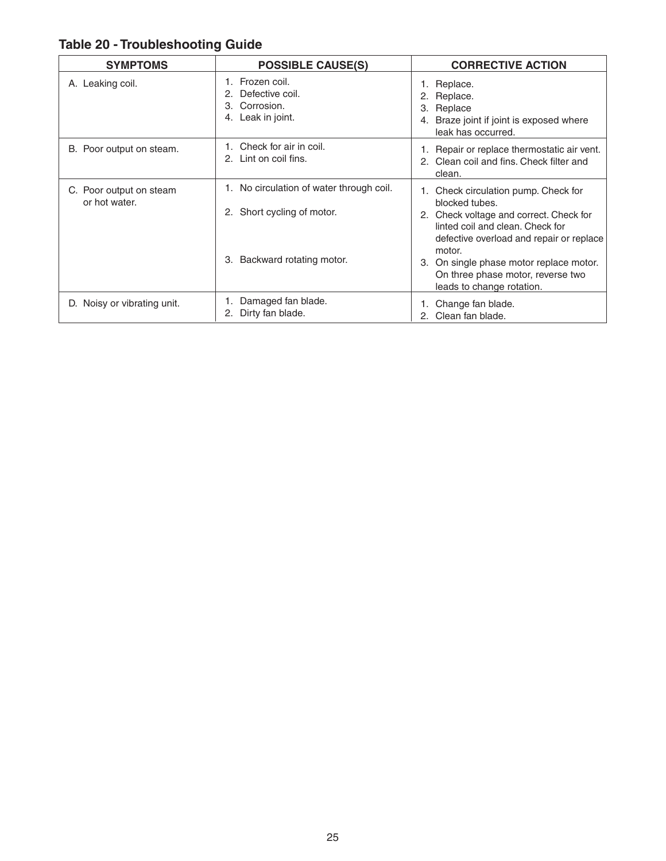|  | <b>Table 20 - Troubleshooting Guide</b> |  |
|--|-----------------------------------------|--|
|--|-----------------------------------------|--|

| <b>SYMPTOMS</b>                          | <b>POSSIBLE CAUSE(S)</b>                                                                                    | <b>CORRECTIVE ACTION</b>                                                                                                                                                                                                                                                                                 |
|------------------------------------------|-------------------------------------------------------------------------------------------------------------|----------------------------------------------------------------------------------------------------------------------------------------------------------------------------------------------------------------------------------------------------------------------------------------------------------|
| A. Leaking coil.                         | Frozen coil.<br>Defective coil.<br>Corrosion.<br>3.<br>Leak in joint.<br>4.                                 | 1. Replace.<br>2. Replace.<br>Replace<br>З.<br>4. Braze joint if joint is exposed where<br>leak has occurred.                                                                                                                                                                                            |
| B. Poor output on steam.                 | Check for air in coil.<br>2. Lint on coil fins.                                                             | 1. Repair or replace thermostatic air vent.<br>2. Clean coil and fins. Check filter and<br>clean.                                                                                                                                                                                                        |
| C. Poor output on steam<br>or hot water. | 1. No circulation of water through coil.<br>Short cycling of motor.<br>2.<br>Backward rotating motor.<br>3. | 1. Check circulation pump. Check for<br>blocked tubes.<br>2. Check voltage and correct. Check for<br>linted coil and clean. Check for<br>defective overload and repair or replace<br>motor.<br>3. On single phase motor replace motor.<br>On three phase motor, reverse two<br>leads to change rotation. |
| D. Noisy or vibrating unit.              | Damaged fan blade.<br>Dirty fan blade.<br>2.                                                                | Change fan blade.<br>2. Clean fan blade.                                                                                                                                                                                                                                                                 |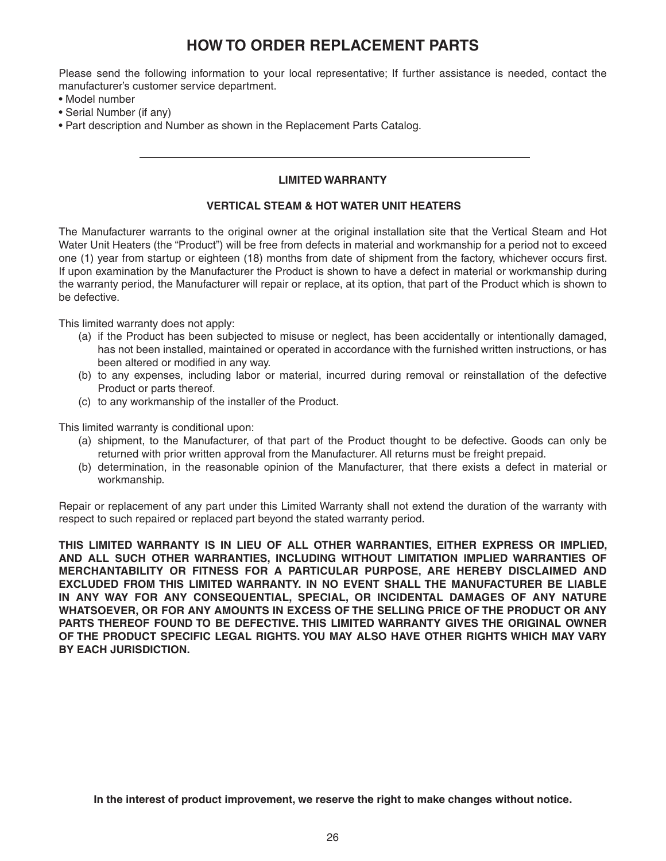# **HOW TO ORDER REPLACEMENT PARTS**

Please send the following information to your local representative; If further assistance is needed, contact the manufacturer's customer service department.

- Model number
- Serial Number (if any)
- Part description and Number as shown in the Replacement Parts Catalog.

### **LIMITED WARRANTY**

### **VERTICAL STEAM & HOT WATER UNIT HEATERS**

The Manufacturer warrants to the original owner at the original installation site that the Vertical Steam and Hot Water Unit Heaters (the "Product") will be free from defects in material and workmanship for a period not to exceed one (1) year from startup or eighteen (18) months from date of shipment from the factory, whichever occurs first. If upon examination by the Manufacturer the Product is shown to have a defect in material or workmanship during the warranty period, the Manufacturer will repair or replace, at its option, that part of the Product which is shown to be defective.

This limited warranty does not apply:

- (a) if the Product has been subjected to misuse or neglect, has been accidentally or intentionally damaged, has not been installed, maintained or operated in accordance with the furnished written instructions, or has been altered or modified in any way.
- (b) to any expenses, including labor or material, incurred during removal or reinstallation of the defective Product or parts thereof.
- (c) to any workmanship of the installer of the Product.

This limited warranty is conditional upon:

- (a) shipment, to the Manufacturer, of that part of the Product thought to be defective. Goods can only be returned with prior written approval from the Manufacturer. All returns must be freight prepaid.
- (b) determination, in the reasonable opinion of the Manufacturer, that there exists a defect in material or workmanship.

Repair or replacement of any part under this Limited Warranty shall not extend the duration of the warranty with respect to such repaired or replaced part beyond the stated warranty period.

**THIS LIMITED WARRANTY IS IN LIEU OF ALL OTHER WARRANTIES, EITHER EXPRESS OR IMPLIED, AND ALL SUCH OTHER WARRANTIES, INCLUDING WITHOUT LIMITATION IMPLIED WARRANTIES OF MERCHANTABILITY OR FITNESS FOR A PARTICULAR PURPOSE, ARE HEREBY DISCLAIMED AND EXCLUDED FROM THIS LIMITED WARRANTY. IN NO EVENT SHALL THE MANUFACTURER BE LIABLE IN ANY WAY FOR ANY CONSEQUENTIAL, SPECIAL, OR INCIDENTAL DAMAGES OF ANY NATURE WHATSOEVER, OR FOR ANY AMOUNTS IN EXCESS OF THE SELLING PRICE OF THE PRODUCT OR ANY PARTS THEREOF FOUND TO BE DEFECTIVE. THIS LIMITED WARRANTY GIVES THE ORIGINAL OWNER OF THE PRODUCT SPECIFIC LEGAL RIGHTS. YOU MAY ALSO HAVE OTHER RIGHTS WHICH MAY VARY BY EACH JURISDICTION.**

**In the interest of product improvement, we reserve the right to make changes without notice.**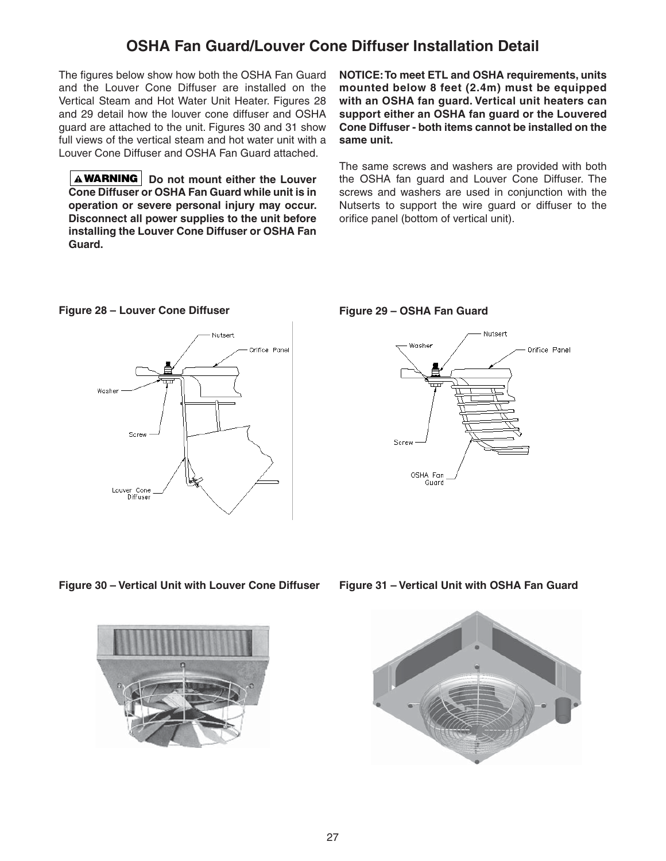# **OSHA Fan Guard/Louver Cone Diffuser Installation Detail**

The figures below show how both the OSHA Fan Guard and the Louver Cone Diffuser are installed on the Vertical Steam and Hot Water Unit Heater. Figures 28 and 29 detail how the louver cone diffuser and OSHA guard are attached to the unit. Figures 30 and 31 show full views of the vertical steam and hot water unit with a Louver Cone Diffuser and OSHA Fan Guard attached.

**A WARNING** Do not mount either the Louver **Cone Diffuser or OSHA Fan Guard while unit is in operation or severe personal injury may occur. Disconnect all power supplies to the unit before installing the Louver Cone Diffuser or OSHA Fan Guard.**

**NOTICE: To meet ETL and OSHA requirements, units mounted below 8 feet (2.4m) must be equipped with an OSHA fan guard. Vertical unit heaters can support either an OSHA fan guard or the Louvered Cone Diffuser - both items cannot be installed on the same unit.** 

The same screws and washers are provided with both the OSHA fan guard and Louver Cone Diffuser. The screws and washers are used in conjunction with the Nutserts to support the wire guard or diffuser to the orifice panel (bottom of vertical unit).



Figure 28 – Louver Cone Diffuser **Figure 29 – OSHA Fan Guard**